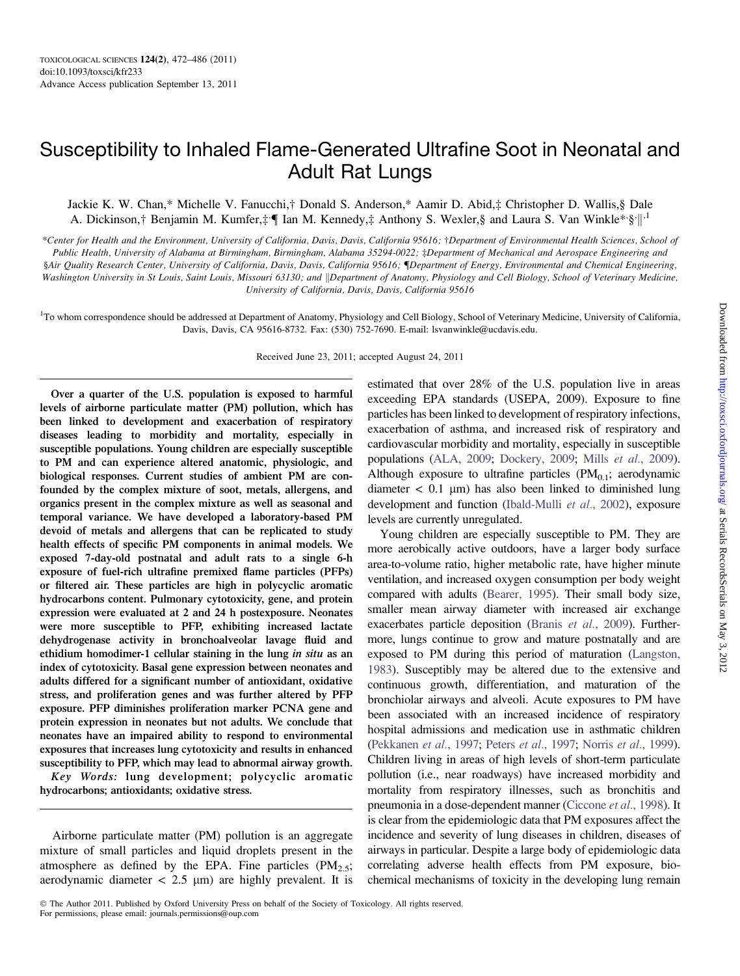# Susceptibility to Inhaled Flame-Generated Ultrafine Soot in Neonatal and Adult Rat Lungs

Jackie K. W. Chan,\* Michelle V. Fanucchi,† Donald S. Anderson,\* Aamir D. Abid,‡ Christopher D. Wallis,§ Dale A. Dickinson,† Benjamin M. Kumfer,‡¶ Ian M. Kennedy,‡ Anthony S. Wexler,§ and Laura S. Van Winkle\*^§'||<sup>, 1</sup>

\*Center for Health and the Environment, University of California, Davis, Davis, California 95616; †Department of Environmental Health Sciences, School of Public Health, University of Alabama at Birmingham, Birmingham, Alabama 35294-0022; ‡Department of Mechanical and Aerospace Engineering and §Air Quality Research Center, University of California, Davis, Davis, California 95616; ¶Department of Energy, Environmental and Chemical Engineering, Washington University in St Louis, Saint Louis, Missouri 63130; and ||Department of Anatomy, Physiology and Cell Biology, School of Veterinary Medicine, University of California, Davis, Davis, California 95616

<sup>1</sup>To whom correspondence should be addressed at Department of Anatomy, Physiology and Cell Biology, School of Veterinary Medicine, University of California, Davis, Davis, CA 95616-8732. Fax: (530) 752-7690. E-mail: lsvanwinkle@ucdavis.edu.

Received June 23, 2011; accepted August 24, 2011

Over a quarter of the U.S. population is exposed to harmful levels of airborne particulate matter (PM) pollution, which has been linked to development and exacerbation of respiratory diseases leading to morbidity and mortality, especially in susceptible populations. Young children are especially susceptible to PM and can experience altered anatomic, physiologic, and biological responses. Current studies of ambient PM are confounded by the complex mixture of soot, metals, allergens, and organics present in the complex mixture as well as seasonal and temporal variance. We have developed a laboratory-based PM devoid of metals and allergens that can be replicated to study health effects of specific PM components in animal models. We exposed 7-day-old postnatal and adult rats to a single 6-h exposure of fuel-rich ultrafine premixed flame particles (PFPs) or filtered air. These particles are high in polycyclic aromatic hydrocarbons content. Pulmonary cytotoxicity, gene, and protein expression were evaluated at 2 and 24 h postexposure. Neonates were more susceptible to PFP, exhibiting increased lactate dehydrogenase activity in bronchoalveolar lavage fluid and ethidium homodimer-1 cellular staining in the lung in situ as an index of cytotoxicity. Basal gene expression between neonates and adults differed for a significant number of antioxidant, oxidative stress, and proliferation genes and was further altered by PFP exposure. PFP diminishes proliferation marker PCNA gene and protein expression in neonates but not adults. We conclude that neonates have an impaired ability to respond to environmental exposures that increases lung cytotoxicity and results in enhanced susceptibility to PFP, which may lead to abnormal airway growth.

Key Words: lung development; polycyclic aromatic hydrocarbons; antioxidants; oxidative stress.

Airborne particulate matter (PM) pollution is an aggregate mixture of small particles and liquid droplets present in the atmosphere as defined by the EPA. Fine particles  $(PM_{2.5};$ aerodynamic diameter  $< 2.5 \mu m$ ) are highly prevalent. It is estimated that over 28% of the U.S. population live in areas exceeding EPA standards (USEPA, 2009). Exposure to fine particles has been linked to development of respiratory infections, exacerbation of asthma, and increased risk of respiratory and cardiovascular morbidity and mortality, especially in susceptible populations ([ALA, 2009](#page-12-0); [Dockery, 2009](#page-13-0); Mills et al.[, 2009\)](#page-13-0). Although exposure to ultrafine particles  $(PM<sub>0.1</sub>; aerodynamic)$ diameter  $< 0.1 \mu m$ ) has also been linked to diminished lung development and function [\(Ibald-Mulli](#page-13-0) et al., 2002), exposure levels are currently unregulated.

Young children are especially susceptible to PM. They are more aerobically active outdoors, have a larger body surface area-to-volume ratio, higher metabolic rate, have higher minute ventilation, and increased oxygen consumption per body weight compared with adults ([Bearer, 1995](#page-12-0)). Their small body size, smaller mean airway diameter with increased air exchange exacerbates particle deposition (Branis et al.[, 2009](#page-13-0)). Furthermore, lungs continue to grow and mature postnatally and are exposed to PM during this period of maturation ([Langston,](#page-13-0) [1983\)](#page-13-0). Susceptibly may be altered due to the extensive and continuous growth, differentiation, and maturation of the bronchiolar airways and alveoli. Acute exposures to PM have been associated with an increased incidence of respiratory hospital admissions and medication use in asthmatic children [\(Pekkanen](#page-13-0) et al., 1997; Peters et al.[, 1997;](#page-13-0) Norris et al.[, 1999\)](#page-13-0). Children living in areas of high levels of short-term particulate pollution (i.e., near roadways) have increased morbidity and mortality from respiratory illnesses, such as bronchitis and pneumonia in a dose-dependent manner ([Ciccone](#page-13-0) et al., 1998). It is clear from the epidemiologic data that PM exposures affect the incidence and severity of lung diseases in children, diseases of airways in particular. Despite a large body of epidemiologic data correlating adverse health effects from PM exposure, biochemical mechanisms of toxicity in the developing lung remain

The Author 2011. Published by Oxford University Press on behalf of the Society of Toxicology. All rights reserved. For permissions, please email: journals.permissions@oup.com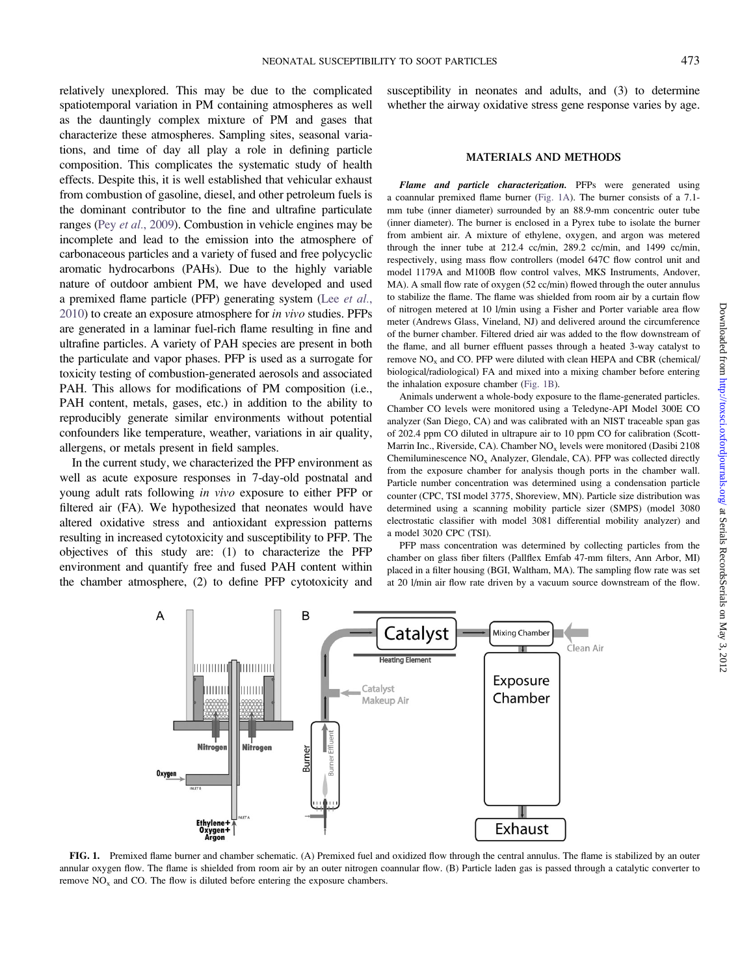relatively unexplored. This may be due to the complicated spatiotemporal variation in PM containing atmospheres as well as the dauntingly complex mixture of PM and gases that characterize these atmospheres. Sampling sites, seasonal variations, and time of day all play a role in defining particle composition. This complicates the systematic study of health effects. Despite this, it is well established that vehicular exhaust from combustion of gasoline, diesel, and other petroleum fuels is the dominant contributor to the fine and ultrafine particulate ranges (Pey et al.[, 2009\)](#page-13-0). Combustion in vehicle engines may be incomplete and lead to the emission into the atmosphere of carbonaceous particles and a variety of fused and free polycyclic aromatic hydrocarbons (PAHs). Due to the highly variable nature of outdoor ambient PM, we have developed and used a premixed flame particle (PFP) generating system (Lee [et al.](#page-13-0), [2010](#page-13-0)) to create an exposure atmosphere for in vivo studies. PFPs

are generated in a laminar fuel-rich flame resulting in fine and ultrafine particles. A variety of PAH species are present in both the particulate and vapor phases. PFP is used as a surrogate for toxicity testing of combustion-generated aerosols and associated PAH. This allows for modifications of PM composition (i.e., PAH content, metals, gases, etc.) in addition to the ability to reproducibly generate similar environments without potential confounders like temperature, weather, variations in air quality, allergens, or metals present in field samples.

In the current study, we characterized the PFP environment as well as acute exposure responses in 7-day-old postnatal and young adult rats following in vivo exposure to either PFP or filtered air (FA). We hypothesized that neonates would have altered oxidative stress and antioxidant expression patterns resulting in increased cytotoxicity and susceptibility to PFP. The objectives of this study are: (1) to characterize the PFP environment and quantify free and fused PAH content within the chamber atmosphere, (2) to define PFP cytotoxicity and

susceptibility in neonates and adults, and (3) to determine whether the airway oxidative stress gene response varies by age.

### MATERIALS AND METHODS

Flame and particle characterization. PFPs were generated using a coannular premixed flame burner (Fig. 1A). The burner consists of a 7.1 mm tube (inner diameter) surrounded by an 88.9-mm concentric outer tube (inner diameter). The burner is enclosed in a Pyrex tube to isolate the burner from ambient air. A mixture of ethylene, oxygen, and argon was metered through the inner tube at 212.4 cc/min, 289.2 cc/min, and 1499 cc/min, respectively, using mass flow controllers (model 647C flow control unit and model 1179A and M100B flow control valves, MKS Instruments, Andover, MA). A small flow rate of oxygen (52 cc/min) flowed through the outer annulus to stabilize the flame. The flame was shielded from room air by a curtain flow of nitrogen metered at 10 l/min using a Fisher and Porter variable area flow meter (Andrews Glass, Vineland, NJ) and delivered around the circumference of the burner chamber. Filtered dried air was added to the flow downstream of the flame, and all burner effluent passes through a heated 3-way catalyst to remove  $NO<sub>x</sub>$  and CO. PFP were diluted with clean HEPA and CBR (chemical/ biological/radiological) FA and mixed into a mixing chamber before entering the inhalation exposure chamber (Fig. 1B).

Animals underwent a whole-body exposure to the flame-generated particles. Chamber CO levels were monitored using a Teledyne-API Model 300E CO analyzer (San Diego, CA) and was calibrated with an NIST traceable span gas of 202.4 ppm CO diluted in ultrapure air to 10 ppm CO for calibration (Scott-Marrin Inc., Riverside, CA). Chamber NO<sub>y</sub> levels were monitored (Dasibi 2108 Chemiluminescence  $NO<sub>x</sub>$  Analyzer, Glendale, CA). PFP was collected directly from the exposure chamber for analysis though ports in the chamber wall. Particle number concentration was determined using a condensation particle counter (CPC, TSI model 3775, Shoreview, MN). Particle size distribution was determined using a scanning mobility particle sizer (SMPS) (model 3080 electrostatic classifier with model 3081 differential mobility analyzer) and a model 3020 CPC (TSI).

PFP mass concentration was determined by collecting particles from the chamber on glass fiber filters (Pallflex Emfab 47-mm filters, Ann Arbor, MI) placed in a filter housing (BGI, Waltham, MA). The sampling flow rate was set at 20 l/min air flow rate driven by a vacuum source downstream of the flow.



FIG. 1. Premixed flame burner and chamber schematic. (A) Premixed fuel and oxidized flow through the central annulus. The flame is stabilized by an outer annular oxygen flow. The flame is shielded from room air by an outer nitrogen coannular flow. (B) Particle laden gas is passed through a catalytic converter to remove  $NO<sub>x</sub>$  and CO. The flow is diluted before entering the exposure chambers.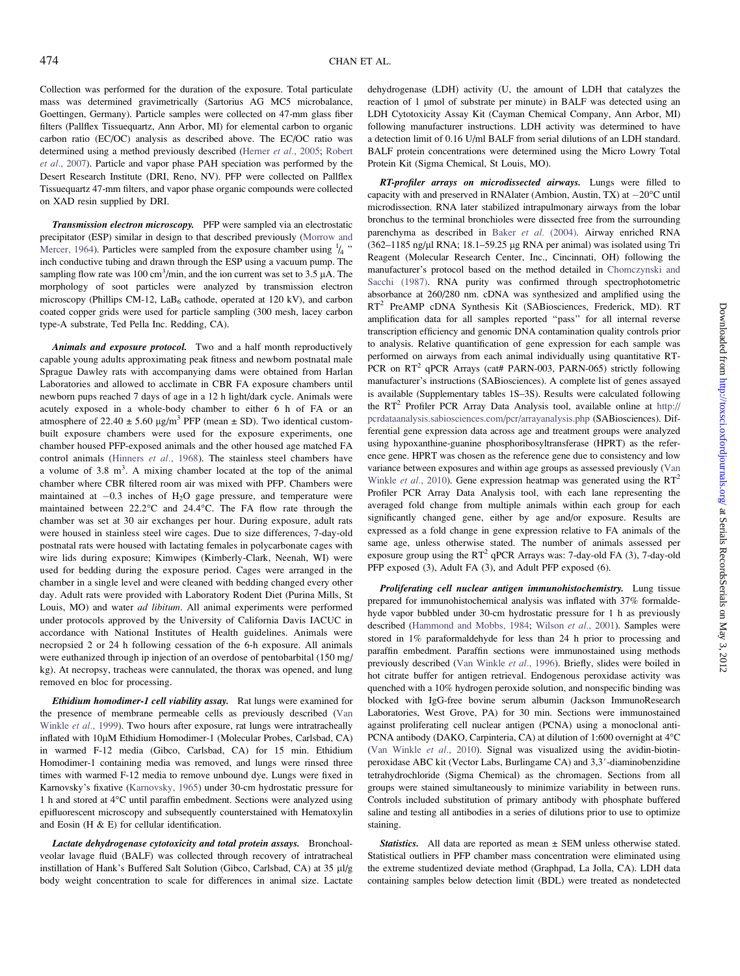Collection was performed for the duration of the exposure. Total particulate mass was determined gravimetrically (Sartorius AG MC5 microbalance, Goettingen, Germany). Particle samples were collected on 47-mm glass fiber filters (Pallflex Tissuequartz, Ann Arbor, MI) for elemental carbon to organic carbon ratio (EC/OC) analysis as described above. The EC/OC ratio was determined using a method previously described ([Herner](#page-13-0) et al., 2005; [Robert](#page-14-0) et al.[, 2007](#page-14-0)). Particle and vapor phase PAH speciation was performed by the Desert Research Institute (DRI, Reno, NV). PFP were collected on Pallflex Tissuequartz 47-mm filters, and vapor phase organic compounds were collected on XAD resin supplied by DRI.

Transmission electron microscopy. PFP were sampled via an electrostatic precipitator (ESP) similar in design to that described previously [\(Morrow and](#page-13-0) [Mercer, 1964](#page-13-0)). Particles were sampled from the exposure chamber using  $\frac{1}{4}$  " inch conductive tubing and drawn through the ESP using a vacuum pump. The sampling flow rate was 100 cm<sup>3</sup>/min, and the ion current was set to  $3.5 \mu A$ . The morphology of soot particles were analyzed by transmission electron microscopy (Phillips CM-12,  $LaB<sub>6</sub>$  cathode, operated at 120 kV), and carbon coated copper grids were used for particle sampling (300 mesh, lacey carbon type-A substrate, Ted Pella Inc. Redding, CA).

Animals and exposure protocol. Two and a half month reproductively capable young adults approximating peak fitness and newborn postnatal male Sprague Dawley rats with accompanying dams were obtained from Harlan Laboratories and allowed to acclimate in CBR FA exposure chambers until newborn pups reached 7 days of age in a 12 h light/dark cycle. Animals were acutely exposed in a whole-body chamber to either 6 h of FA or an atmosphere of 22.40  $\pm$  5.60 µg/m<sup>3</sup> PFP (mean  $\pm$  SD). Two identical custombuilt exposure chambers were used for the exposure experiments, one chamber housed PFP-exposed animals and the other housed age matched FA control animals ([Hinners](#page-13-0) et al., 1968). The stainless steel chambers have a volume of 3.8  $m<sup>3</sup>$ . A mixing chamber located at the top of the animal chamber where CBR filtered room air was mixed with PFP. Chambers were maintained at  $-0.3$  inches of  $H<sub>2</sub>O$  gage pressure, and temperature were maintained between 22.2 °C and 24.4 °C. The FA flow rate through the chamber was set at 30 air exchanges per hour. During exposure, adult rats were housed in stainless steel wire cages. Due to size differences, 7-day-old postnatal rats were housed with lactating females in polycarbonate cages with wire lids during exposure; Kimwipes (Kimberly-Clark, Neenah, WI) were used for bedding during the exposure period. Cages were arranged in the chamber in a single level and were cleaned with bedding changed every other day. Adult rats were provided with Laboratory Rodent Diet (Purina Mills, St Louis, MO) and water *ad libitum*. All animal experiments were performed under protocols approved by the University of California Davis IACUC in accordance with National Institutes of Health guidelines. Animals were necropsied 2 or 24 h following cessation of the 6-h exposure. All animals were euthanized through ip injection of an overdose of pentobarbital (150 mg/ kg). At necropsy, tracheas were cannulated, the thorax was opened, and lung removed en bloc for processing.

Ethidium homodimer-1 cell viability assay. Rat lungs were examined for the presence of membrane permeable cells as previously described ([Van](#page-14-0) [Winkle](#page-14-0) et al., 1999). Two hours after exposure, rat lungs were intratracheally inflated with 10µM Ethidium Homodimer-1 (Molecular Probes, Carlsbad, CA) in warmed F-12 media (Gibco, Carlsbad, CA) for 15 min. Ethidium Homodimer-1 containing media was removed, and lungs were rinsed three times with warmed F-12 media to remove unbound dye. Lungs were fixed in Karnovsky's fixative ([Karnovsky, 1965](#page-13-0)) under 30-cm hydrostatic pressure for 1 h and stored at 4°C until paraffin embedment. Sections were analyzed using epifluorescent microscopy and subsequently counterstained with Hematoxylin and Eosin (H & E) for cellular identification.

Lactate dehydrogenase cytotoxicity and total protein assays. Bronchoalveolar lavage fluid (BALF) was collected through recovery of intratracheal instillation of Hank's Buffered Salt Solution (Gibco, Carlsbad, CA) at 35 µl/g body weight concentration to scale for differences in animal size. Lactate

dehydrogenase (LDH) activity (U, the amount of LDH that catalyzes the reaction of 1 µmol of substrate per minute) in BALF was detected using an LDH Cytotoxicity Assay Kit (Cayman Chemical Company, Ann Arbor, MI) following manufacturer instructions. LDH activity was determined to have a detection limit of 0.16 U/ml BALF from serial dilutions of an LDH standard. BALF protein concentrations were determined using the Micro Lowry Total Protein Kit (Sigma Chemical, St Louis, MO).

RT-profiler arrays on microdissected airways. Lungs were filled to capacity with and preserved in RNAlater (Ambion, Austin, TX) at  $-20^{\circ}$ C until microdissection. RNA later stabilized intrapulmonary airways from the lobar bronchus to the terminal bronchioles were dissected free from the surrounding parenchyma as described in Baker et al. [\(2004\).](#page-12-0) Airway enriched RNA  $(362-1185 \text{ ng/µl RNA}; 18.1-59.25 \text{ µg RNA per animal})$  was isolated using Tri Reagent (Molecular Research Center, Inc., Cincinnati, OH) following the manufacturer's protocol based on the method detailed in [Chomczynski and](#page-13-0) [Sacchi \(1987\)](#page-13-0). RNA purity was confirmed through spectrophotometric absorbance at 260/280 nm. cDNA was synthesized and amplified using the RT<sup>2</sup> PreAMP cDNA Synthesis Kit (SABiosciences, Frederick, MD). RT amplification data for all samples reported ''pass'' for all internal reverse transcription efficiency and genomic DNA contamination quality controls prior to analysis. Relative quantification of gene expression for each sample was performed on airways from each animal individually using quantitative RT-PCR on RT<sup>2</sup> qPCR Arrays (cat# PARN-003, PARN-065) strictly following manufacturer's instructions (SABiosciences). A complete list of genes assayed is available (Supplementary tables 1S–3S). Results were calculated following the  $RT^2$  Profiler PCR Array Data Analysis tool, available online at [http://](http://pcrdataanalysis.sabiosciences.com/pcr/arrayanalysis.php) [pcrdataanalysis.sabiosciences.com/pcr/arrayanalysis.php](http://pcrdataanalysis.sabiosciences.com/pcr/arrayanalysis.php) (SABiosciences). Differential gene expression data across age and treatment groups were analyzed using hypoxanthine-guanine phosphoribosyltransferase (HPRT) as the reference gene. HPRT was chosen as the reference gene due to consistency and low variance between exposures and within age groups as assessed previously ([Van](#page-14-0) [Winkle](#page-14-0) et al., 2010). Gene expression heatmap was generated using the  $RT^2$ Profiler PCR Array Data Analysis tool, with each lane representing the averaged fold change from multiple animals within each group for each significantly changed gene, either by age and/or exposure. Results are expressed as a fold change in gene expression relative to FA animals of the same age, unless otherwise stated. The number of animals assessed per exposure group using the  $RT^2$  qPCR Arrays was: 7-day-old FA (3), 7-day-old PFP exposed (3), Adult FA (3), and Adult PFP exposed (6).

Proliferating cell nuclear antigen immunohistochemistry. Lung tissue prepared for immunohistochemical analysis was inflated with 37% formaldehyde vapor bubbled under 30-cm hydrostatic pressure for 1 h as previously described ([Hammond and Mobbs, 1984;](#page-13-0) [Wilson](#page-14-0) et al., 2001). Samples were stored in 1% paraformaldehyde for less than 24 h prior to processing and paraffin embedment. Paraffin sections were immunostained using methods previously described ([Van Winkle](#page-14-0) et al., 1996). Briefly, slides were boiled in hot citrate buffer for antigen retrieval. Endogenous peroxidase activity was quenched with a 10% hydrogen peroxide solution, and nonspecific binding was blocked with IgG-free bovine serum albumin (Jackson ImmunoResearch Laboratories, West Grove, PA) for 30 min. Sections were immunostained against proliferating cell nuclear antigen (PCNA) using a monoclonal anti-PCNA antibody (DAKO, Carpinteria, CA) at dilution of 1:600 overnight at 4°C ([Van Winkle](#page-14-0) et al., 2010). Signal was visualized using the avidin-biotinperoxidase ABC kit (Vector Labs, Burlingame CA) and 3,3'-diaminobenzidine tetrahydrochloride (Sigma Chemical) as the chromagen. Sections from all groups were stained simultaneously to minimize variability in between runs. Controls included substitution of primary antibody with phosphate buffered saline and testing all antibodies in a series of dilutions prior to use to optimize staining.

Statistics. All data are reported as mean  $\pm$  SEM unless otherwise stated. Statistical outliers in PFP chamber mass concentration were eliminated using the extreme studentized deviate method (Graphpad, La Jolla, CA). LDH data containing samples below detection limit (BDL) were treated as nondetected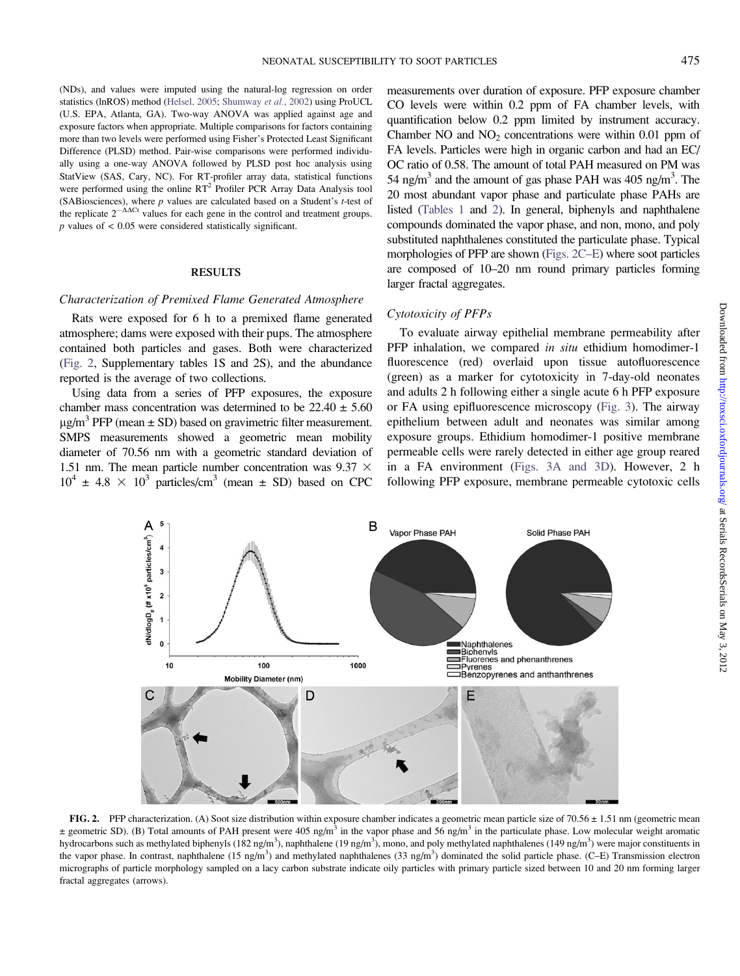(NDs), and values were imputed using the natural-log regression on order statistics (lnROS) method [\(Helsel, 2005](#page-13-0); [Shumway](#page-14-0) et al., 2002) using ProUCL (U.S. EPA, Atlanta, GA). Two-way ANOVA was applied against age and exposure factors when appropriate. Multiple comparisons for factors containing more than two levels were performed using Fisher's Protected Least Significant Difference (PLSD) method. Pair-wise comparisons were performed individually using a one-way ANOVA followed by PLSD post hoc analysis using StatView (SAS, Cary, NC). For RT-profiler array data, statistical functions were performed using the online  $RT^2$  Profiler PCR Array Data Analysis tool (SABiosciences), where  $p$  values are calculated based on a Student's  $t$ -test of the replicate  $2^{-\Delta\Delta Ct}$  values for each gene in the control and treatment groups.  $p$  values of  $< 0.05$  were considered statistically significant.

#### RESULTS

### Characterization of Premixed Flame Generated Atmosphere

Rats were exposed for 6 h to a premixed flame generated atmosphere; dams were exposed with their pups. The atmosphere contained both particles and gases. Both were characterized (Fig. 2, Supplementary tables 1S and 2S), and the abundance reported is the average of two collections.

Using data from a series of PFP exposures, the exposure chamber mass concentration was determined to be  $22.40 \pm 5.60$  $\mu$ g/m<sup>3</sup> PFP (mean  $\pm$  SD) based on gravimetric filter measurement. SMPS measurements showed a geometric mean mobility diameter of 70.56 nm with a geometric standard deviation of 1.51 nm. The mean particle number concentration was  $9.37 \times$  $10^4 \pm 4.8 \times 10^3$  particles/cm<sup>3</sup> (mean  $\pm$  SD) based on CPC measurements over duration of exposure. PFP exposure chamber CO levels were within 0.2 ppm of FA chamber levels, with quantification below 0.2 ppm limited by instrument accuracy. Chamber NO and  $NO<sub>2</sub>$  concentrations were within 0.01 ppm of FA levels. Particles were high in organic carbon and had an EC/ OC ratio of 0.58. The amount of total PAH measured on PM was 54 ng/m<sup>3</sup> and the amount of gas phase PAH was  $405$  ng/m<sup>3</sup>. The 20 most abundant vapor phase and particulate phase PAHs are listed [\(Tables 1](#page-4-0) and [2](#page-4-0)). In general, biphenyls and naphthalene compounds dominated the vapor phase, and non, mono, and poly substituted naphthalenes constituted the particulate phase. Typical morphologies of PFP are shown (Figs. 2C–E) where soot particles are composed of 10–20 nm round primary particles forming larger fractal aggregates.

### Cytotoxicity of PFPs

To evaluate airway epithelial membrane permeability after PFP inhalation, we compared *in situ* ethidium homodimer-1 fluorescence (red) overlaid upon tissue autofluorescence (green) as a marker for cytotoxicity in 7-day-old neonates and adults 2 h following either a single acute 6 h PFP exposure or FA using epifluorescence microscopy [\(Fig. 3\)](#page-5-0). The airway epithelium between adult and neonates was similar among exposure groups. Ethidium homodimer-1 positive membrane permeable cells were rarely detected in either age group reared in a FA environment ([Figs. 3A and 3D](#page-5-0)). However, 2 h following PFP exposure, membrane permeable cytotoxic cells



FIG. 2. PFP characterization. (A) Soot size distribution within exposure chamber indicates a geometric mean particle size of  $70.56 \pm 1.51$  nm (geometric mean  $\pm$  geometric SD). (B) Total amounts of PAH present were 405 ng/m<sup>3</sup> in the vapor phase and 56 ng/m<sup>3</sup> in the particulate phase. Low molecular weight aromatic hydrocarbons such as methylated biphenyls (182 ng/m<sup>3</sup>), naphthalene (19 ng/m<sup>3</sup>), mono, and poly methylated naphthalenes (149 ng/m<sup>3</sup>) were major constituents in the vapor phase. In contrast, naphthalene (15 ng/m<sup>3</sup>) and methylated naphthalenes (33 ng/m<sup>3</sup>) dominated the solid particle phase. (C–E) Transmission electron micrographs of particle morphology sampled on a lacy carbon substrate indicate oily particles with primary particle sized between 10 and 20 nm forming larger fractal aggregates (arrows).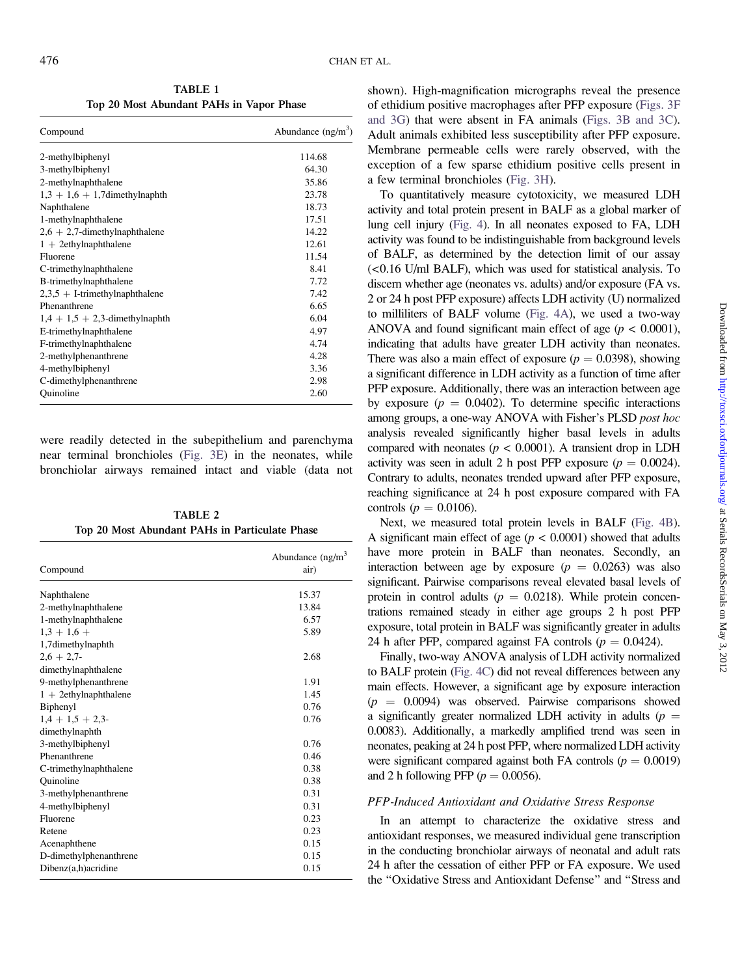<span id="page-4-0"></span>TABLE 1 Top 20 Most Abundant PAHs in Vapor Phase

| Compound                          | Abundance $(ng/m^3)$ |
|-----------------------------------|----------------------|
| 2-methylbiphenyl                  | 114.68               |
| 3-methylbiphenyl                  | 64.30                |
| 2-methylnaphthalene               | 35.86                |
| $1,3 + 1,6 + 1,7$ dimethylnaphth  | 23.78                |
| Naphthalene                       | 18.73                |
| 1-methylnaphthalene               | 17.51                |
| $2,6 + 2,7$ -dimethylnaphthalene  | 14.22                |
| $1 + 2$ ethylnaphthalene          | 12.61                |
| Fluorene                          | 11.54                |
| C-trimethylnaphthalene            | 8.41                 |
| B-trimethylnaphthalene            | 7.72                 |
| $2,3,5 +$ I-trimethylnaphthalene  | 7.42                 |
| Phenanthrene                      | 6.65                 |
| $1,4 + 1,5 + 2,3$ -dimethylnaphth | 6.04                 |
| E-trimethylnaphthalene            | 4.97                 |
| F-trimethylnaphthalene            | 4.74                 |
| 2-methylphenanthrene              | 4.28                 |
| 4-methylbiphenyl                  | 3.36                 |
| C-dimethylphenanthrene            | 2.98                 |
| Ouinoline                         | 2.60                 |

were readily detected in the subepithelium and parenchyma near terminal bronchioles [\(Fig. 3E](#page-5-0)) in the neonates, while bronchiolar airways remained intact and viable (data not

TABLE 2 Top 20 Most Abundant PAHs in Particulate Phase

|                          | Abundance $(ng/m3)$<br>air) |  |  |
|--------------------------|-----------------------------|--|--|
| Compound                 |                             |  |  |
| Naphthalene              | 15.37                       |  |  |
| 2-methylnaphthalene      | 13.84                       |  |  |
| 1-methylnaphthalene      | 6.57                        |  |  |
| $1,3 + 1,6 +$            | 5.89                        |  |  |
| 1,7dimethylnaphth        |                             |  |  |
| $2,6 + 2,7$              | 2.68                        |  |  |
| dimethylnaphthalene      |                             |  |  |
| 9-methylphenanthrene     | 1.91                        |  |  |
| $1 + 2$ ethylnaphthalene | 1.45                        |  |  |
| Biphenyl                 | 0.76                        |  |  |
| $1.4 + 1.5 + 2.3$        | 0.76                        |  |  |
| dimethylnaphth           |                             |  |  |
| 3-methylbiphenyl         | 0.76                        |  |  |
| Phenanthrene             | 0.46                        |  |  |
| C-trimethylnaphthalene   | 0.38                        |  |  |
| Ouinoline                | 0.38                        |  |  |
| 3-methylphenanthrene     | 0.31                        |  |  |
| 4-methylbiphenyl         | 0.31                        |  |  |
| Fluorene                 | 0.23                        |  |  |
| Retene                   | 0.23                        |  |  |
| Acenaphthene             | 0.15                        |  |  |
| D-dimethylphenanthrene   | 0.15                        |  |  |
| Dibenz(a,h) acridine     | 0.15                        |  |  |

shown). High-magnification micrographs reveal the presence of ethidium positive macrophages after PFP exposure ([Figs. 3F](#page-5-0) [and 3G\)](#page-5-0) that were absent in FA animals ([Figs. 3B and 3C](#page-5-0)). Adult animals exhibited less susceptibility after PFP exposure. Membrane permeable cells were rarely observed, with the exception of a few sparse ethidium positive cells present in a few terminal bronchioles ([Fig. 3H\)](#page-5-0).

To quantitatively measure cytotoxicity, we measured LDH activity and total protein present in BALF as a global marker of lung cell injury ([Fig. 4\)](#page-6-0). In all neonates exposed to FA, LDH activity was found to be indistinguishable from background levels of BALF, as determined by the detection limit of our assay (<0.16 U/ml BALF), which was used for statistical analysis. To discern whether age (neonates vs. adults) and/or exposure (FA vs. 2 or 24 h post PFP exposure) affects LDH activity (U) normalized to milliliters of BALF volume [\(Fig. 4A](#page-6-0)), we used a two-way ANOVA and found significant main effect of age ( $p < 0.0001$ ), indicating that adults have greater LDH activity than neonates. There was also a main effect of exposure ( $p = 0.0398$ ), showing a significant difference in LDH activity as a function of time after PFP exposure. Additionally, there was an interaction between age by exposure ( $p = 0.0402$ ). To determine specific interactions among groups, a one-way ANOVA with Fisher's PLSD post hoc analysis revealed significantly higher basal levels in adults compared with neonates ( $p < 0.0001$ ). A transient drop in LDH activity was seen in adult 2 h post PFP exposure ( $p = 0.0024$ ). Contrary to adults, neonates trended upward after PFP exposure, reaching significance at 24 h post exposure compared with FA controls ( $p = 0.0106$ ).

Next, we measured total protein levels in BALF [\(Fig. 4B\)](#page-6-0). A significant main effect of age ( $p < 0.0001$ ) showed that adults have more protein in BALF than neonates. Secondly, an interaction between age by exposure  $(p = 0.0263)$  was also significant. Pairwise comparisons reveal elevated basal levels of protein in control adults ( $p = 0.0218$ ). While protein concentrations remained steady in either age groups 2 h post PFP exposure, total protein in BALF was significantly greater in adults 24 h after PFP, compared against FA controls ( $p = 0.0424$ ).

Finally, two-way ANOVA analysis of LDH activity normalized to BALF protein ([Fig. 4C](#page-6-0)) did not reveal differences between any main effects. However, a significant age by exposure interaction  $(p = 0.0094)$  was observed. Pairwise comparisons showed a significantly greater normalized LDH activity in adults ( $p =$ 0.0083). Additionally, a markedly amplified trend was seen in neonates, peaking at 24 h post PFP, where normalized LDH activity were significant compared against both FA controls ( $p = 0.0019$ ) and 2 h following PFP ( $p = 0.0056$ ).

### PFP-Induced Antioxidant and Oxidative Stress Response

In an attempt to characterize the oxidative stress and antioxidant responses, we measured individual gene transcription in the conducting bronchiolar airways of neonatal and adult rats 24 h after the cessation of either PFP or FA exposure. We used the ''Oxidative Stress and Antioxidant Defense'' and ''Stress and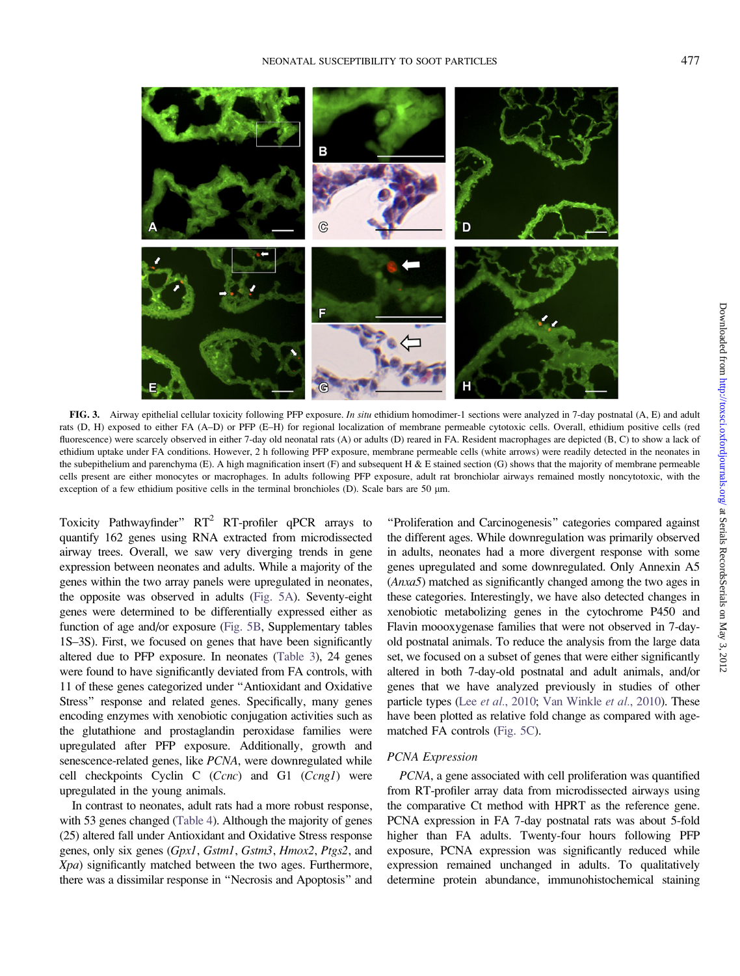<span id="page-5-0"></span>

FIG. 3. Airway epithelial cellular toxicity following PFP exposure. In situ ethidium homodimer-1 sections were analyzed in 7-day postnatal (A, E) and adult rats (D, H) exposed to either FA (A–D) or PFP (E–H) for regional localization of membrane permeable cytotoxic cells. Overall, ethidium positive cells (red fluorescence) were scarcely observed in either 7-day old neonatal rats (A) or adults (D) reared in FA. Resident macrophages are depicted (B, C) to show a lack of ethidium uptake under FA conditions. However, 2 h following PFP exposure, membrane permeable cells (white arrows) were readily detected in the neonates in the subepithelium and parenchyma (E). A high magnification insert (F) and subsequent H  $\&$  E stained section (G) shows that the majority of membrane permeable cells present are either monocytes or macrophages. In adults following PFP exposure, adult rat bronchiolar airways remained mostly noncytotoxic, with the exception of a few ethidium positive cells in the terminal bronchioles  $(D)$ . Scale bars are 50  $\mu$ m.

Toxicity Pathwayfinder"  $RT^2$  RT-profiler qPCR arrays to quantify 162 genes using RNA extracted from microdissected airway trees. Overall, we saw very diverging trends in gene expression between neonates and adults. While a majority of the genes within the two array panels were upregulated in neonates, the opposite was observed in adults ([Fig. 5A\)](#page-8-0). Seventy-eight genes were determined to be differentially expressed either as function of age and/or exposure ([Fig. 5B,](#page-8-0) Supplementary tables 1S–3S). First, we focused on genes that have been significantly altered due to PFP exposure. In neonates [\(Table 3](#page-9-0)), 24 genes were found to have significantly deviated from FA controls, with 11 of these genes categorized under ''Antioxidant and Oxidative Stress'' response and related genes. Specifically, many genes encoding enzymes with xenobiotic conjugation activities such as the glutathione and prostaglandin peroxidase families were upregulated after PFP exposure. Additionally, growth and senescence-related genes, like PCNA, were downregulated while cell checkpoints Cyclin C (Ccnc) and G1 (Ccng1) were upregulated in the young animals.

In contrast to neonates, adult rats had a more robust response, with 53 genes changed ([Table 4\)](#page-10-0). Although the majority of genes (25) altered fall under Antioxidant and Oxidative Stress response genes, only six genes (Gpx1, Gstm1, Gstm3, Hmox2, Ptgs2, and Xpa) significantly matched between the two ages. Furthermore, there was a dissimilar response in ''Necrosis and Apoptosis'' and ''Proliferation and Carcinogenesis'' categories compared against the different ages. While downregulation was primarily observed in adults, neonates had a more divergent response with some genes upregulated and some downregulated. Only Annexin A5 (Anxa5) matched as significantly changed among the two ages in these categories. Interestingly, we have also detected changes in xenobiotic metabolizing genes in the cytochrome P450 and Flavin moooxygenase families that were not observed in 7-dayold postnatal animals. To reduce the analysis from the large data set, we focused on a subset of genes that were either significantly altered in both 7-day-old postnatal and adult animals, and/or genes that we have analyzed previously in studies of other particle types (Lee et al.[, 2010](#page-13-0); [Van Winkle](#page-14-0) et al., 2010). These have been plotted as relative fold change as compared with agematched FA controls [\(Fig. 5C](#page-8-0)).

### PCNA Expression

PCNA, a gene associated with cell proliferation was quantified from RT-profiler array data from microdissected airways using the comparative Ct method with HPRT as the reference gene. PCNA expression in FA 7-day postnatal rats was about 5-fold higher than FA adults. Twenty-four hours following PFP exposure, PCNA expression was significantly reduced while expression remained unchanged in adults. To qualitatively determine protein abundance, immunohistochemical staining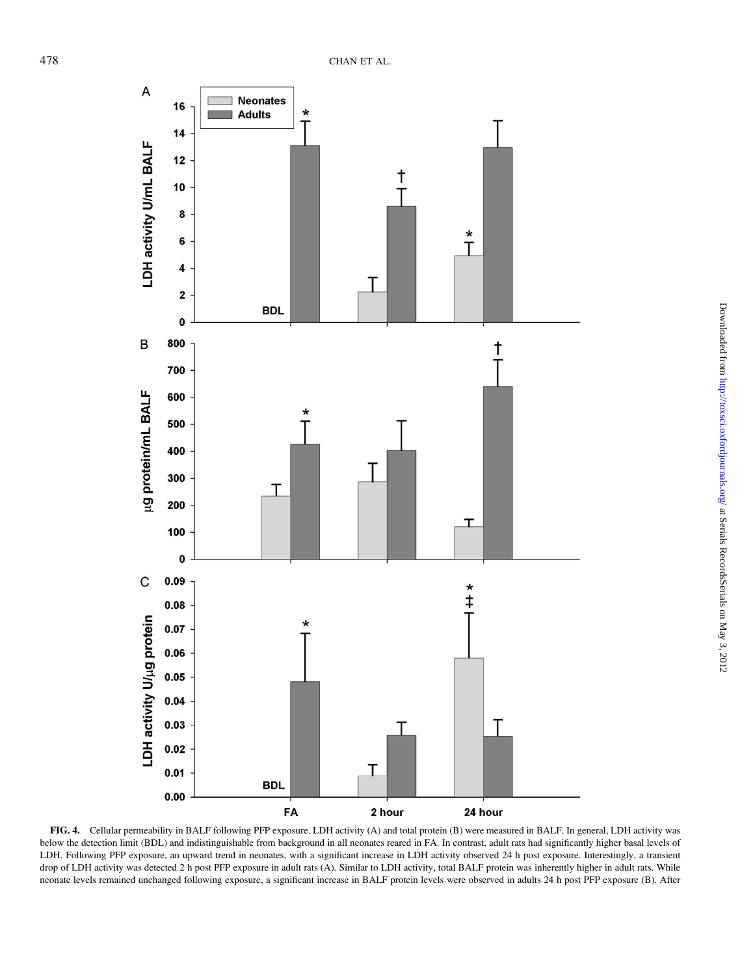<span id="page-6-0"></span>

FIG. 4. Cellular permeability in BALF following PFP exposure. LDH activity (A) and total protein (B) were measured in BALF. In general, LDH activity was below the detection limit (BDL) and indistinguishable from background in all neonates reared in FA. In contrast, adult rats had significantly higher basal levels of LDH. Following PFP exposure, an upward trend in neonates, with a significant increase in LDH activity observed 24 h post exposure. Interestingly, a transient drop of LDH activity was detected 2 h post PFP exposure in adult rats (A). Similar to LDH activity, total BALF protein was inherently higher in adult rats. While neonate levels remained unchanged following exposure, a significant increase in BALF protein levels were observed in adults 24 h post PFP exposure (B). After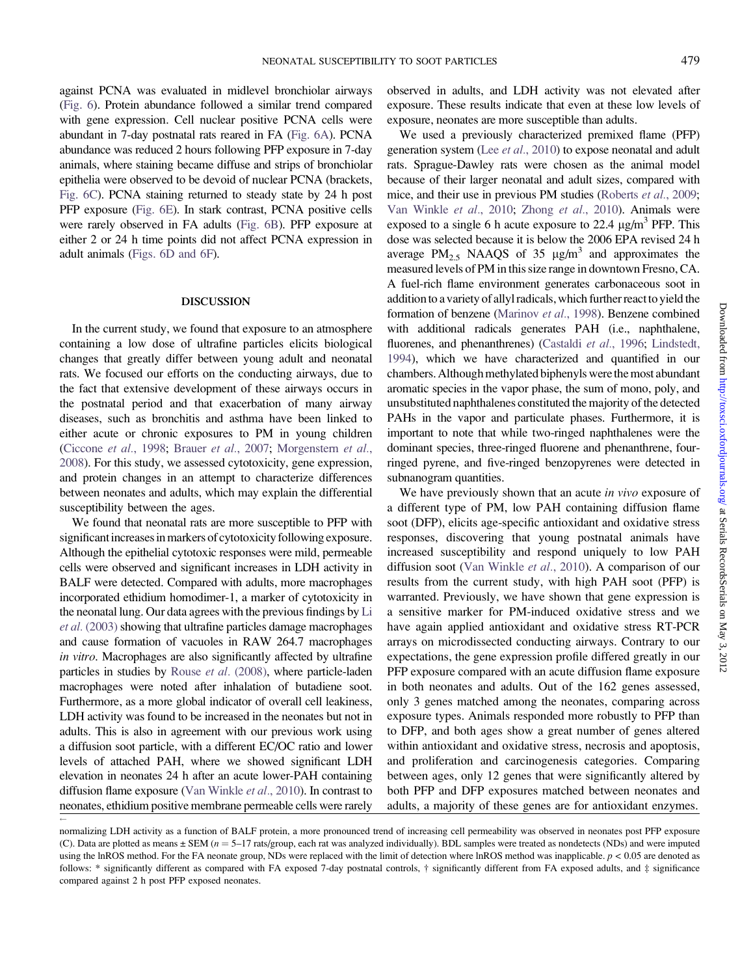against PCNA was evaluated in midlevel bronchiolar airways [\(Fig. 6\)](#page-11-0). Protein abundance followed a similar trend compared with gene expression. Cell nuclear positive PCNA cells were abundant in 7-day postnatal rats reared in FA ([Fig. 6A](#page-11-0)). PCNA abundance was reduced 2 hours following PFP exposure in 7-day animals, where staining became diffuse and strips of bronchiolar epithelia were observed to be devoid of nuclear PCNA (brackets, [Fig. 6C](#page-11-0)). PCNA staining returned to steady state by 24 h post PFP exposure [\(Fig. 6E\)](#page-11-0). In stark contrast, PCNA positive cells were rarely observed in FA adults [\(Fig. 6B\)](#page-11-0). PFP exposure at either 2 or 24 h time points did not affect PCNA expression in adult animals [\(Figs. 6D and 6F\)](#page-11-0).

#### DISCUSSION

In the current study, we found that exposure to an atmosphere containing a low dose of ultrafine particles elicits biological changes that greatly differ between young adult and neonatal rats. We focused our efforts on the conducting airways, due to the fact that extensive development of these airways occurs in the postnatal period and that exacerbation of many airway diseases, such as bronchitis and asthma have been linked to either acute or chronic exposures to PM in young children [\(Ciccone](#page-13-0) et al., 1998; [Brauer](#page-13-0) et al., 2007; [Morgenstern](#page-13-0) et al., [2008](#page-13-0)). For this study, we assessed cytotoxicity, gene expression, and protein changes in an attempt to characterize differences between neonates and adults, which may explain the differential susceptibility between the ages.

We found that neonatal rats are more susceptible to PFP with significantincreases in markers of cytotoxicity following exposure. Although the epithelial cytotoxic responses were mild, permeable cells were observed and significant increases in LDH activity in BALF were detected. Compared with adults, more macrophages incorporated ethidium homodimer-1, a marker of cytotoxicity in the neonatal lung. Our data agrees with the previous findings by [Li](#page-13-0) et al. [\(2003\)](#page-13-0) showing that ultrafine particles damage macrophages and cause formation of vacuoles in RAW 264.7 macrophages in vitro. Macrophages are also significantly affected by ultrafine particles in studies by Rouse et al. [\(2008\),](#page-14-0) where particle-laden macrophages were noted after inhalation of butadiene soot. Furthermore, as a more global indicator of overall cell leakiness, LDH activity was found to be increased in the neonates but not in adults. This is also in agreement with our previous work using a diffusion soot particle, with a different EC/OC ratio and lower levels of attached PAH, where we showed significant LDH elevation in neonates 24 h after an acute lower-PAH containing diffusion flame exposure [\(Van Winkle](#page-14-0) et al., 2010). In contrast to neonates, ethidium positive membrane permeable cells were rarely  $\leftarrow$ 

observed in adults, and LDH activity was not elevated after exposure. These results indicate that even at these low levels of exposure, neonates are more susceptible than adults.

We used a previously characterized premixed flame (PFP) generation system (Lee et al.[, 2010](#page-13-0)) to expose neonatal and adult rats. Sprague-Dawley rats were chosen as the animal model because of their larger neonatal and adult sizes, compared with mice, and their use in previous PM studies ([Roberts](#page-14-0) et al., 2009; [Van Winkle](#page-14-0) et al., 2010; Zhong et al.[, 2010](#page-14-0)). Animals were exposed to a single 6 h acute exposure to 22.4  $\mu$ g/m<sup>3</sup> PFP. This dose was selected because it is below the 2006 EPA revised 24 h average PM<sub>2.5</sub> NAAQS of 35  $\mu$ g/m<sup>3</sup> and approximates the measured levels of PM in this size range in downtown Fresno, CA. A fuel-rich flame environment generates carbonaceous soot in addition to a variety of allyl radicals, which further react to yield the formation of benzene [\(Marinov](#page-13-0) et al., 1998). Benzene combined with additional radicals generates PAH (i.e., naphthalene, fluorenes, and phenanthrenes) ([Castaldi](#page-13-0) et al., 1996; [Lindstedt,](#page-13-0) [1994](#page-13-0)), which we have characterized and quantified in our chambers. Although methylated biphenyls were the most abundant aromatic species in the vapor phase, the sum of mono, poly, and unsubstituted naphthalenes constituted the majority of the detected PAHs in the vapor and particulate phases. Furthermore, it is important to note that while two-ringed naphthalenes were the dominant species, three-ringed fluorene and phenanthrene, fourringed pyrene, and five-ringed benzopyrenes were detected in subnanogram quantities.

We have previously shown that an acute *in vivo* exposure of a different type of PM, low PAH containing diffusion flame soot (DFP), elicits age-specific antioxidant and oxidative stress responses, discovering that young postnatal animals have increased susceptibility and respond uniquely to low PAH diffusion soot [\(Van Winkle](#page-14-0) et al., 2010). A comparison of our results from the current study, with high PAH soot (PFP) is warranted. Previously, we have shown that gene expression is a sensitive marker for PM-induced oxidative stress and we have again applied antioxidant and oxidative stress RT-PCR arrays on microdissected conducting airways. Contrary to our expectations, the gene expression profile differed greatly in our PFP exposure compared with an acute diffusion flame exposure in both neonates and adults. Out of the 162 genes assessed, only 3 genes matched among the neonates, comparing across exposure types. Animals responded more robustly to PFP than to DFP, and both ages show a great number of genes altered within antioxidant and oxidative stress, necrosis and apoptosis, and proliferation and carcinogenesis categories. Comparing between ages, only 12 genes that were significantly altered by both PFP and DFP exposures matched between neonates and adults, a majority of these genes are for antioxidant enzymes.

normalizing LDH activity as a function of BALF protein, a more pronounced trend of increasing cell permeability was observed in neonates post PFP exposure (C). Data are plotted as means  $\pm$  SEM ( $n = 5-17$  rats/group, each rat was analyzed individually). BDL samples were treated as nondetects (NDs) and were imputed using the lnROS method. For the FA neonate group, NDs were replaced with the limit of detection where lnROS method was inapplicable.  $p < 0.05$  are denoted as follows: \* significantly different as compared with FA exposed 7-day postnatal controls, † significantly different from FA exposed adults, and ‡ significance compared against 2 h post PFP exposed neonates.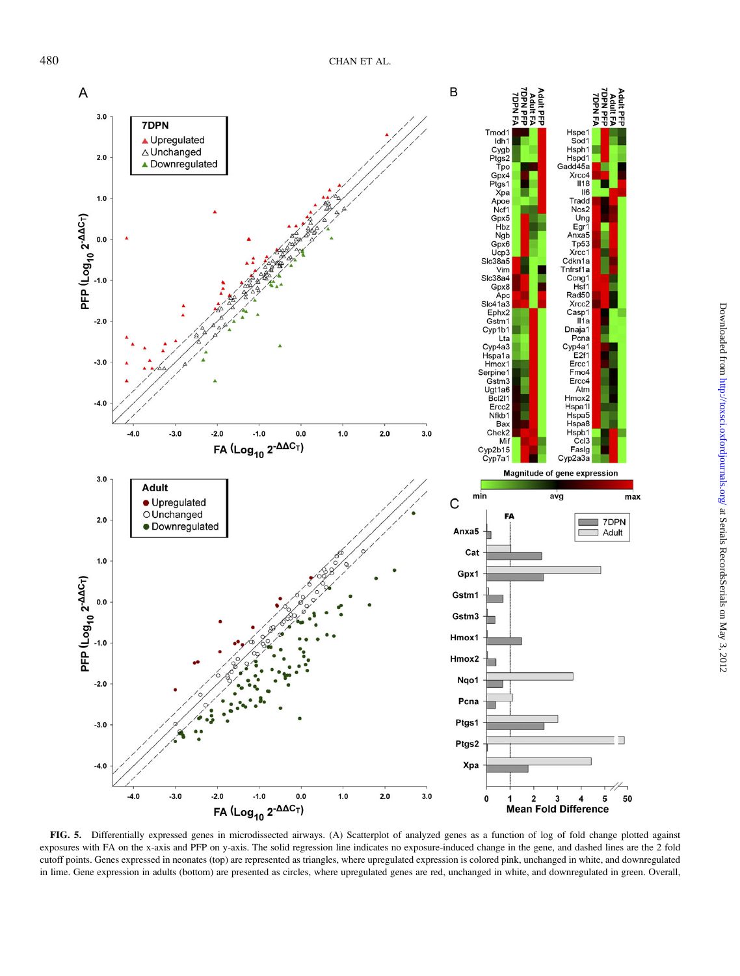<span id="page-8-0"></span>

FIG. 5. Differentially expressed genes in microdissected airways. (A) Scatterplot of analyzed genes as a function of log of fold change plotted against exposures with FA on the x-axis and PFP on y-axis. The solid regression line indicates no exposure-induced change in the gene, and dashed lines are the 2 fold cutoff points. Genes expressed in neonates (top) are represented as triangles, where upregulated expression is colored pink, unchanged in white, and downregulated in lime. Gene expression in adults (bottom) are presented as circles, where upregulated genes are red, unchanged in white, and downregulated in green. Overall,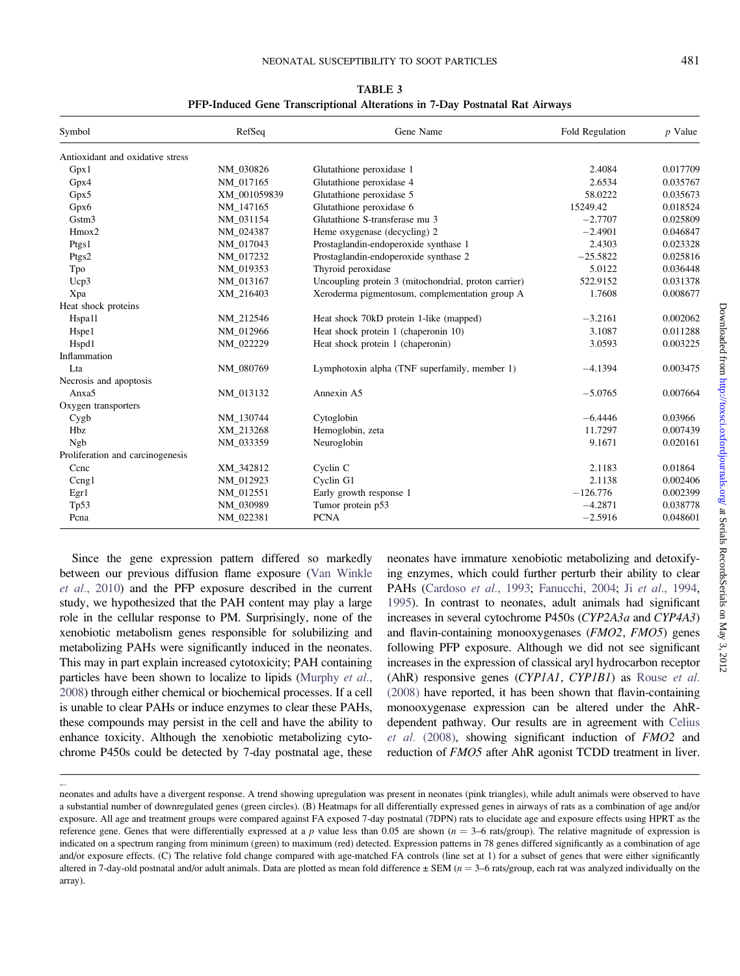<span id="page-9-0"></span>

| Symbol                           | RefSeq       | Gene Name                                            | <b>Fold Regulation</b> | $p$ Value |
|----------------------------------|--------------|------------------------------------------------------|------------------------|-----------|
| Antioxidant and oxidative stress |              |                                                      |                        |           |
| Gpx1                             | NM 030826    | Glutathione peroxidase 1                             | 2.4084                 | 0.017709  |
| Gpx4                             | NM 017165    | Glutathione peroxidase 4                             | 2.6534                 | 0.035767  |
| Gpx5                             | XM 001059839 | Glutathione peroxidase 5                             | 58.0222                | 0.035673  |
| Gpx6                             | NM 147165    | Glutathione peroxidase 6                             | 15249.42               | 0.018524  |
| Gstm <sub>3</sub>                | NM 031154    | Glutathione S-transferase mu 3                       | $-2.7707$              | 0.025809  |
| Hmox2                            | NM 024387    | Heme oxygenase (decycling) 2                         | $-2.4901$              | 0.046847  |
| Ptgs1                            | NM 017043    | Prostaglandin-endoperoxide synthase 1                | 2.4303                 | 0.023328  |
| Ptgs2                            | NM 017232    | Prostaglandin-endoperoxide synthase 2                | $-25.5822$             | 0.025816  |
| Tpo                              | NM_019353    | Thyroid peroxidase                                   | 5.0122                 | 0.036448  |
| Ucp3                             | NM_013167    | Uncoupling protein 3 (mitochondrial, proton carrier) | 522.9152               | 0.031378  |
| Xpa                              | XM_216403    | Xeroderma pigmentosum, complementation group A       | 1.7608                 | 0.008677  |
| Heat shock proteins              |              |                                                      |                        |           |
| Hspa11                           | NM_212546    | Heat shock 70kD protein 1-like (mapped)              | $-3.2161$              | 0.002062  |
| Hspe1                            | NM 012966    | Heat shock protein 1 (chaperonin 10)                 | 3.1087                 | 0.011288  |
| Hspd1                            | NM_022229    | Heat shock protein 1 (chaperonin)                    | 3.0593                 | 0.003225  |
| Inflammation                     |              |                                                      |                        |           |
| Lta                              | NM 080769    | Lymphotoxin alpha (TNF superfamily, member 1)        | $-4.1394$              | 0.003475  |
| Necrosis and apoptosis           |              |                                                      |                        |           |
| Anxa <sub>5</sub>                | NM 013132    | Annexin A5                                           | $-5.0765$              | 0.007664  |
| Oxygen transporters              |              |                                                      |                        |           |
| Cygb                             | NM 130744    | Cytoglobin                                           | $-6.4446$              | 0.03966   |
| Hbz                              | XM 213268    | Hemoglobin, zeta                                     | 11.7297                | 0.007439  |
| Ngb                              | NM 033359    | Neuroglobin                                          | 9.1671                 | 0.020161  |
| Proliferation and carcinogenesis |              |                                                      |                        |           |
| Ccnc                             | XM_342812    | Cyclin C                                             | 2.1183                 | 0.01864   |
| Ceng1                            | NM_012923    | Cyclin G1                                            | 2.1138                 | 0.002406  |
| Egr1                             | NM 012551    | Early growth response 1                              | $-126.776$             | 0.002399  |
| Tp53                             | NM_030989    | Tumor protein p53                                    | $-4.2871$              | 0.038778  |
| Pcna                             | NM 022381    | <b>PCNA</b>                                          | $-2.5916$              | 0.048601  |
|                                  |              |                                                      |                        |           |

TABLE 3 PFP-Induced Gene Transcriptional Alterations in 7-Day Postnatal Rat Airways

Since the gene expression pattern differed so markedly between our previous diffusion flame exposure [\(Van Winkle](#page-14-0) et al.[, 2010](#page-14-0)) and the PFP exposure described in the current study, we hypothesized that the PAH content may play a large role in the cellular response to PM. Surprisingly, none of the xenobiotic metabolism genes responsible for solubilizing and metabolizing PAHs were significantly induced in the neonates. This may in part explain increased cytotoxicity; PAH containing particles have been shown to localize to lipids ([Murphy](#page-13-0) et al., [2008](#page-13-0)) through either chemical or biochemical processes. If a cell is unable to clear PAHs or induce enzymes to clear these PAHs, these compounds may persist in the cell and have the ability to enhance toxicity. Although the xenobiotic metabolizing cytochrome P450s could be detected by 7-day postnatal age, these neonates have immature xenobiotic metabolizing and detoxifying enzymes, which could further perturb their ability to clear PAHs ([Cardoso](#page-13-0) et al., 1993; [Fanucchi, 2004](#page-13-0); Ji et al.[, 1994](#page-13-0), [1995](#page-13-0)). In contrast to neonates, adult animals had significant increases in several cytochrome P450s (CYP2A3a and CYP4A3) and flavin-containing monooxygenases (FMO2, FMO5) genes following PFP exposure. Although we did not see significant increases in the expression of classical aryl hydrocarbon receptor (AhR) responsive genes (CYP1A1, CYP1B1) as [Rouse](#page-14-0) et al. [\(2008\)](#page-14-0) have reported, it has been shown that flavin-containing monooxygenase expression can be altered under the AhRdependent pathway. Our results are in agreement with [Celius](#page-13-0) et al. [\(2008\)](#page-13-0), showing significant induction of FMO2 and reduction of FMO5 after AhR agonist TCDD treatment in liver.

<sup>←&</sup>lt;br>neonates and adults have a divergent response. A trend showing upregulation was present in neonates (pink triangles), while adult animals were observed to have a substantial number of downregulated genes (green circles). (B) Heatmaps for all differentially expressed genes in airways of rats as a combination of age and/or exposure. All age and treatment groups were compared against FA exposed 7-day postnatal (7DPN) rats to elucidate age and exposure effects using HPRT as the reference gene. Genes that were differentially expressed at a p value less than 0.05 are shown ( $n = 3-6$  rats/group). The relative magnitude of expression is indicated on a spectrum ranging from minimum (green) to maximum (red) detected. Expression patterns in 78 genes differed significantly as a combination of age and/or exposure effects. (C) The relative fold change compared with age-matched FA controls (line set at 1) for a subset of genes that were either significantly altered in 7-day-old postnatal and/or adult animals. Data are plotted as mean fold difference  $\pm$  SEM ( $n = 3-6$  rats/group, each rat was analyzed individually on the array).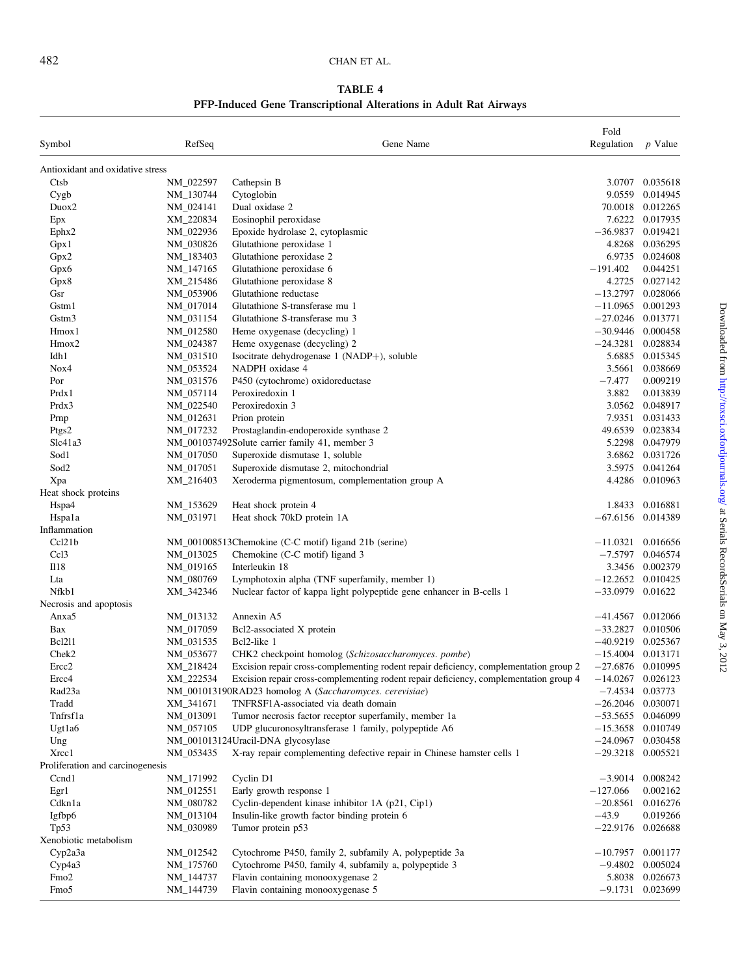### <span id="page-10-0"></span>482 CHAN ET AL.

## TABLE 4

### PFP-Induced Gene Transcriptional Alterations in Adult Rat Airways

| Symbol                           | RefSeq                 | Gene Name                                                                             | Fold<br>Regulation  | $p$ Value                      |
|----------------------------------|------------------------|---------------------------------------------------------------------------------------|---------------------|--------------------------------|
|                                  |                        |                                                                                       |                     |                                |
| Antioxidant and oxidative stress |                        |                                                                                       |                     |                                |
| Ctsb<br>Cygb                     | NM_022597<br>NM_130744 | Cathepsin B<br>Cytoglobin                                                             | 9.0559              | 3.0707 0.035618<br>0.014945    |
| $D$ uox $2$                      | NM_024141              | Dual oxidase 2                                                                        | 70.0018             | 0.012265                       |
| Epx                              | XM_220834              | Eosinophil peroxidase                                                                 | 7.6222              | 0.017935                       |
| Ephx2                            | NM_022936              | Epoxide hydrolase 2, cytoplasmic                                                      | –36.9837            | 0.019421                       |
| Gpx1                             | NM_030826              | Glutathione peroxidase 1                                                              | 4.8268              | 0.036295                       |
| Gpx2                             | NM_183403              | Glutathione peroxidase 2                                                              | 6.9735              | 0.024608                       |
| Gpx <sub>6</sub>                 | NM_147165              | Glutathione peroxidase 6                                                              | $-191.402$          | 0.044251                       |
| Gpx8                             | XM_215486              | Glutathione peroxidase 8                                                              | 4.2725              | 0.027142                       |
| Gsr                              | NM_053906              | Glutathione reductase                                                                 | $-13.2797$          | 0.028066                       |
| Gstm1                            | NM_017014              | Glutathione S-transferase mu 1                                                        | $-11.0965$          | 0.001293                       |
| Gstm <sub>3</sub>                | NM_031154              | Glutathione S-transferase mu 3                                                        | $-27.0246$          | 0.013771                       |
| Hmox1                            | NM_012580              | Heme oxygenase (decycling) 1                                                          | $-30.9446$          | 0.000458                       |
| Hmox <sub>2</sub>                | NM_024387              | Heme oxygenase (decycling) 2                                                          | $-24.3281$          | 0.028834                       |
| Idh1                             | NM_031510              | Isocitrate dehydrogenase 1 (NADP+), soluble                                           | 5.6885              | 0.015345                       |
| Nox4                             | NM_053524              | NADPH oxidase 4                                                                       | 3.5661              | 0.038669                       |
| Por                              | NM_031576              | P450 (cytochrome) oxidoreductase                                                      | $-7.477$            | 0.009219                       |
| Prdx1                            | NM_057114              | Peroxiredoxin 1                                                                       | 3.882               | 0.013839                       |
| Prdx3                            | NM_022540              | Peroxiredoxin 3                                                                       | 3.0562              | 0.048917                       |
| Prnp                             | NM_012631              | Prion protein                                                                         | 7.9351              | 0.031433                       |
| Ptgs2                            | NM_017232              | Prostaglandin-endoperoxide synthase 2                                                 | 49.6539             | 0.023834                       |
| Slc41a3                          |                        | NM_001037492Solute carrier family 41, member 3                                        | 5.2298              | 0.047979                       |
| Sod1                             | NM_017050              | Superoxide dismutase 1, soluble                                                       |                     | 3.6862 0.031726                |
| Sod2                             | NM_017051              | Superoxide dismutase 2, mitochondrial                                                 | 3.5975              | 0.041264                       |
| Xpa                              | XM_216403              | Xeroderma pigmentosum, complementation group A                                        | 4.4286              | 0.010963                       |
| Heat shock proteins              |                        |                                                                                       |                     |                                |
| Hspa4                            | NM_153629              | Heat shock protein 4                                                                  | 1.8433              | 0.016881                       |
| Hspa1a                           | NM_031971              | Heat shock 70kD protein 1A                                                            | $-67.6156$ 0.014389 |                                |
| Inflammation                     |                        |                                                                                       |                     |                                |
| Ccl <sub>21b</sub>               |                        | NM_001008513Chemokine (C-C motif) ligand 21b (serine)                                 | $-11.0321$ 0.016656 |                                |
| Ccl <sub>3</sub>                 | NM_013025              | Chemokine (C-C motif) ligand 3                                                        |                     | $-7.5797$ 0.046574             |
| II18                             | NM_019165              | Interleukin 18                                                                        |                     | 3.3456 0.002379                |
| Lta                              | NM_080769              | Lymphotoxin alpha (TNF superfamily, member 1)                                         | $-12.2652$          | 0.010425                       |
| Nfkb1                            | XM_342346              | Nuclear factor of kappa light polypeptide gene enhancer in B-cells 1                  | $-33.0979$ 0.01622  |                                |
| Necrosis and apoptosis           |                        |                                                                                       |                     |                                |
| Anxa5                            | NM_013132              | Annexin A5                                                                            | –41.4567            | 0.012066                       |
| Bax                              | NM_017059              | Bcl2-associated X protein                                                             | $-33.2827$          | 0.010506                       |
| <b>Bcl211</b>                    | NM_031535              | Bcl2-like 1                                                                           | $-40.9219$          | 0.025367                       |
| Chek2                            | NM_053677              | CHK2 checkpoint homolog (Schizosaccharomyces. pombe)                                  | $-15.4004$          | 0.013171                       |
| Ercc <sub>2</sub>                | XM_218424              | Excision repair cross-complementing rodent repair deficiency, complementation group 2 | $-27.6876$ 0.010995 |                                |
| Ercc4                            | XM 222534              | Excision repair cross-complementing rodent repair deficiency, complementation group 4 | $-14.0267$ 0.026123 |                                |
| Rad <sub>23</sub> a              |                        | NM_001013190RAD23 homolog A (Saccharomyces. cerevisiae)                               | $-7.4534$ 0.03773   |                                |
| Tradd                            | XM_341671              | TNFRSF1A-associated via death domain                                                  | $-26.2046$ 0.030071 |                                |
| Tnfrsf1a                         | NM_013091              | Tumor necrosis factor receptor superfamily, member 1a                                 | $-53.5655$ 0.046099 |                                |
| Ugt1a6                           | NM_057105              | UDP glucuronosyltransferase 1 family, polypeptide A6                                  | $-15.3658$          | 0.010749                       |
| Ung                              |                        | NM_001013124Uracil-DNA glycosylase                                                    | $-24.0967$          | 0.030458                       |
| Xrcc1                            | NM_053435              | X-ray repair complementing defective repair in Chinese hamster cells 1                | $-29.3218$ 0.005521 |                                |
| Proliferation and carcinogenesis |                        |                                                                                       |                     |                                |
| Ccnd1                            | NM_171992              | Cyclin D1                                                                             |                     | $-3.9014$ 0.008242             |
| Egr1                             | NM_012551              | Early growth response 1                                                               | $-127.066$          | 0.002162                       |
| Cdkn1a                           | NM_080782              | Cyclin-dependent kinase inhibitor 1A (p21, Cip1)                                      | $-20.8561$          | 0.016276                       |
| Igfbp6                           | NM_013104              | Insulin-like growth factor binding protein 6                                          | $-43.9$             | 0.019266                       |
| Tp53                             | NM_030989              | Tumor protein p53                                                                     | $-22.9176$ 0.026688 |                                |
| Xenobiotic metabolism            |                        |                                                                                       |                     |                                |
| Cyp2a3a                          | NM_012542              | Cytochrome P450, family 2, subfamily A, polypeptide 3a                                | $-10.7957$ 0.001177 |                                |
| Cyp4a3                           | NM_175760              | Cytochrome P450, family 4, subfamily a, polypeptide 3                                 |                     | $-9.4802$ 0.005024             |
| Fmo <sub>2</sub>                 | NM_144737              | Flavin containing monooxygenase 2                                                     | 5.8038              | 0.026673<br>$-9.1731$ 0.023699 |
| Fmo <sub>5</sub>                 | NM_144739              | Flavin containing monooxygenase 5                                                     |                     |                                |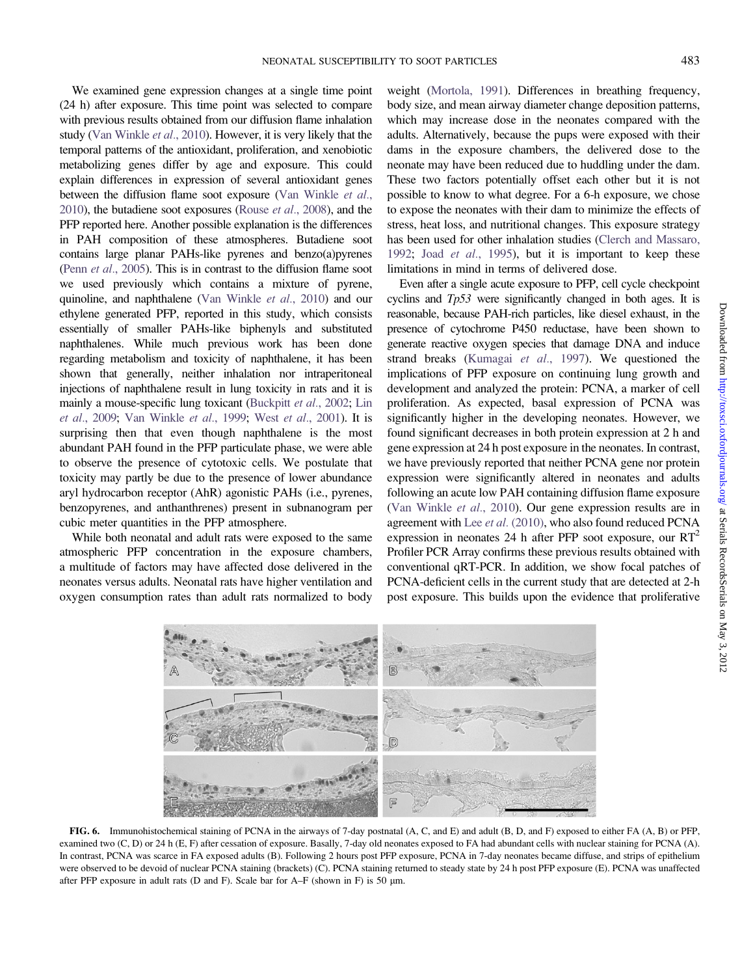<span id="page-11-0"></span>We examined gene expression changes at a single time point (24 h) after exposure. This time point was selected to compare with previous results obtained from our diffusion flame inhalation study ([Van Winkle](#page-14-0) et al., 2010). However, it is very likely that the temporal patterns of the antioxidant, proliferation, and xenobiotic metabolizing genes differ by age and exposure. This could explain differences in expression of several antioxidant genes between the diffusion flame soot exposure ([Van Winkle](#page-14-0) et al., [2010](#page-14-0)), the butadiene soot exposures (Rouse et al.[, 2008](#page-14-0)), and the PFP reported here. Another possible explanation is the differences in PAH composition of these atmospheres. Butadiene soot contains large planar PAHs-like pyrenes and benzo(a)pyrenes (Penn et al.[, 2005\)](#page-13-0). This is in contrast to the diffusion flame soot we used previously which contains a mixture of pyrene, quinoline, and naphthalene [\(Van Winkle](#page-14-0) et al., 2010) and our ethylene generated PFP, reported in this study, which consists essentially of smaller PAHs-like biphenyls and substituted naphthalenes. While much previous work has been done regarding metabolism and toxicity of naphthalene, it has been shown that generally, neither inhalation nor intraperitoneal injections of naphthalene result in lung toxicity in rats and it is mainly a mouse-specific lung toxicant [\(Buckpitt](#page-13-0) et al., 2002; [Lin](#page-13-0) et al.[, 2009;](#page-13-0) [Van Winkle](#page-14-0) et al., 1999; West et al.[, 2001](#page-14-0)). It is surprising then that even though naphthalene is the most abundant PAH found in the PFP particulate phase, we were able to observe the presence of cytotoxic cells. We postulate that toxicity may partly be due to the presence of lower abundance aryl hydrocarbon receptor (AhR) agonistic PAHs (i.e., pyrenes, benzopyrenes, and anthanthrenes) present in subnanogram per cubic meter quantities in the PFP atmosphere.

While both neonatal and adult rats were exposed to the same atmospheric PFP concentration in the exposure chambers, a multitude of factors may have affected dose delivered in the neonates versus adults. Neonatal rats have higher ventilation and oxygen consumption rates than adult rats normalized to body weight ([Mortola, 1991](#page-13-0)). Differences in breathing frequency, body size, and mean airway diameter change deposition patterns, which may increase dose in the neonates compared with the adults. Alternatively, because the pups were exposed with their dams in the exposure chambers, the delivered dose to the neonate may have been reduced due to huddling under the dam. These two factors potentially offset each other but it is not possible to know to what degree. For a 6-h exposure, we chose to expose the neonates with their dam to minimize the effects of stress, heat loss, and nutritional changes. This exposure strategy has been used for other inhalation studies ([Clerch and Massaro,](#page-13-0) [1992](#page-13-0); Joad et al.[, 1995](#page-13-0)), but it is important to keep these limitations in mind in terms of delivered dose.

Even after a single acute exposure to PFP, cell cycle checkpoint cyclins and  $Tp53$  were significantly changed in both ages. It is reasonable, because PAH-rich particles, like diesel exhaust, in the presence of cytochrome P450 reductase, have been shown to generate reactive oxygen species that damage DNA and induce strand breaks ([Kumagai](#page-13-0) et al., 1997). We questioned the implications of PFP exposure on continuing lung growth and development and analyzed the protein: PCNA, a marker of cell proliferation. As expected, basal expression of PCNA was significantly higher in the developing neonates. However, we found significant decreases in both protein expression at 2 h and gene expression at 24 h post exposure in the neonates. In contrast, we have previously reported that neither PCNA gene nor protein expression were significantly altered in neonates and adults following an acute low PAH containing diffusion flame exposure [\(Van Winkle](#page-14-0) et al., 2010). Our gene expression results are in agreement with Lee et al. [\(2010\)](#page-13-0), who also found reduced PCNA expression in neonates 24 h after PFP soot exposure, our  $RT^2$ Profiler PCR Array confirms these previous results obtained with conventional qRT-PCR. In addition, we show focal patches of PCNA-deficient cells in the current study that are detected at 2-h post exposure. This builds upon the evidence that proliferative



FIG. 6. Immunohistochemical staining of PCNA in the airways of 7-day postnatal (A, C, and E) and adult (B, D, and F) exposed to either FA (A, B) or PFP, examined two (C, D) or 24 h (E, F) after cessation of exposure. Basally, 7-day old neonates exposed to FA had abundant cells with nuclear staining for PCNA (A). In contrast, PCNA was scarce in FA exposed adults (B). Following 2 hours post PFP exposure, PCNA in 7-day neonates became diffuse, and strips of epithelium were observed to be devoid of nuclear PCNA staining (brackets) (C). PCNA staining returned to steady state by 24 h post PFP exposure (E). PCNA was unaffected after PFP exposure in adult rats (D and F). Scale bar for A–F (shown in F) is 50 µm.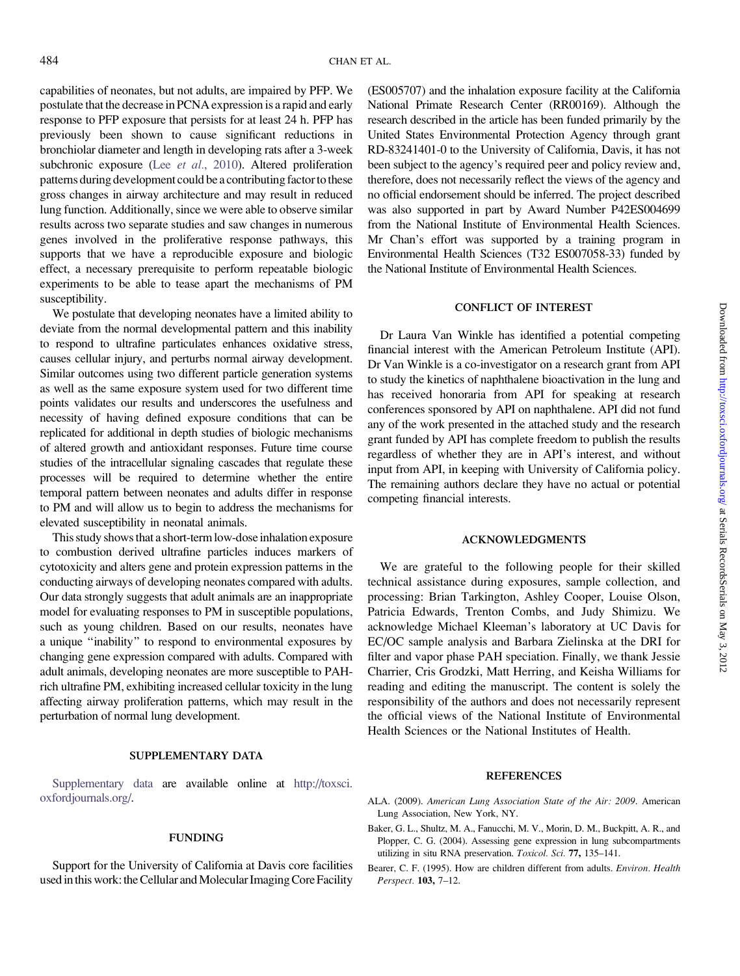<span id="page-12-0"></span>capabilities of neonates, but not adults, are impaired by PFP. We postulate that the decrease in PCNA expression is a rapid and early response to PFP exposure that persists for at least 24 h. PFP has previously been shown to cause significant reductions in bronchiolar diameter and length in developing rats after a 3-week subchronic exposure (Lee et al.[, 2010\)](#page-13-0). Altered proliferation patterns during development could be a contributing factor to these gross changes in airway architecture and may result in reduced lung function. Additionally, since we were able to observe similar results across two separate studies and saw changes in numerous genes involved in the proliferative response pathways, this supports that we have a reproducible exposure and biologic effect, a necessary prerequisite to perform repeatable biologic experiments to be able to tease apart the mechanisms of PM susceptibility.

We postulate that developing neonates have a limited ability to deviate from the normal developmental pattern and this inability to respond to ultrafine particulates enhances oxidative stress, causes cellular injury, and perturbs normal airway development. Similar outcomes using two different particle generation systems as well as the same exposure system used for two different time points validates our results and underscores the usefulness and necessity of having defined exposure conditions that can be replicated for additional in depth studies of biologic mechanisms of altered growth and antioxidant responses. Future time course studies of the intracellular signaling cascades that regulate these processes will be required to determine whether the entire temporal pattern between neonates and adults differ in response to PM and will allow us to begin to address the mechanisms for elevated susceptibility in neonatal animals.

This study shows that a short-term low-dose inhalation exposure to combustion derived ultrafine particles induces markers of cytotoxicity and alters gene and protein expression patterns in the conducting airways of developing neonates compared with adults. Our data strongly suggests that adult animals are an inappropriate model for evaluating responses to PM in susceptible populations, such as young children. Based on our results, neonates have a unique ''inability'' to respond to environmental exposures by changing gene expression compared with adults. Compared with adult animals, developing neonates are more susceptible to PAHrich ultrafine PM, exhibiting increased cellular toxicity in the lung affecting airway proliferation patterns, which may result in the perturbation of normal lung development.

### SUPPLEMENTARY DATA

[Supplementary data](http://toxsci.oxfordjournals.org/cgi/content/full/kfr233/DC1) are available online at [http://toxsci.](http://toxsci.oxfordjournals.org/) [oxfordjournals.org/](http://toxsci.oxfordjournals.org/).

### FUNDING

Support for the University of California at Davis core facilities used in this work: the Cellular and Molecular Imaging Core Facility (ES005707) and the inhalation exposure facility at the California National Primate Research Center (RR00169). Although the research described in the article has been funded primarily by the United States Environmental Protection Agency through grant RD-83241401-0 to the University of California, Davis, it has not been subject to the agency's required peer and policy review and, therefore, does not necessarily reflect the views of the agency and no official endorsement should be inferred. The project described was also supported in part by Award Number P42ES004699 from the National Institute of Environmental Health Sciences. Mr Chan's effort was supported by a training program in Environmental Health Sciences (T32 ES007058-33) funded by the National Institute of Environmental Health Sciences.

### CONFLICT OF INTEREST

Dr Laura Van Winkle has identified a potential competing financial interest with the American Petroleum Institute (API). Dr Van Winkle is a co-investigator on a research grant from API to study the kinetics of naphthalene bioactivation in the lung and has received honoraria from API for speaking at research conferences sponsored by API on naphthalene. API did not fund any of the work presented in the attached study and the research grant funded by API has complete freedom to publish the results regardless of whether they are in API's interest, and without input from API, in keeping with University of California policy. The remaining authors declare they have no actual or potential competing financial interests.

### ACKNOWLEDGMENTS

We are grateful to the following people for their skilled technical assistance during exposures, sample collection, and processing: Brian Tarkington, Ashley Cooper, Louise Olson, Patricia Edwards, Trenton Combs, and Judy Shimizu. We acknowledge Michael Kleeman's laboratory at UC Davis for EC/OC sample analysis and Barbara Zielinska at the DRI for filter and vapor phase PAH speciation. Finally, we thank Jessie Charrier, Cris Grodzki, Matt Herring, and Keisha Williams for reading and editing the manuscript. The content is solely the responsibility of the authors and does not necessarily represent the official views of the National Institute of Environmental Health Sciences or the National Institutes of Health.

### REFERENCES

- ALA. (2009). American Lung Association State of the Air: 2009. American Lung Association, New York, NY.
- Baker, G. L., Shultz, M. A., Fanucchi, M. V., Morin, D. M., Buckpitt, A. R., and Plopper, C. G. (2004). Assessing gene expression in lung subcompartments utilizing in situ RNA preservation. Toxicol. Sci. 77, 135–141.
- Bearer, C. F. (1995). How are children different from adults. Environ. Health Perspect. 103, 7-12.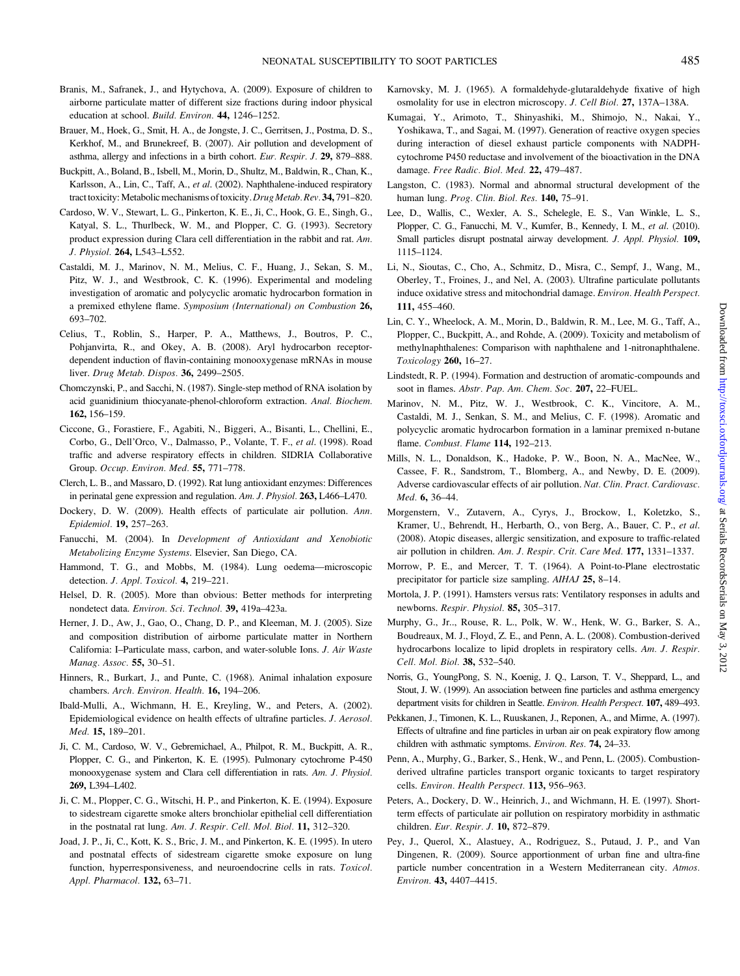- <span id="page-13-0"></span>Branis, M., Safranek, J., and Hytychova, A. (2009). Exposure of children to airborne particulate matter of different size fractions during indoor physical education at school. Build. Environ. 44, 1246–1252.
- Brauer, M., Hoek, G., Smit, H. A., de Jongste, J. C., Gerritsen, J., Postma, D. S., Kerkhof, M., and Brunekreef, B. (2007). Air pollution and development of asthma, allergy and infections in a birth cohort. Eur. Respir. J. 29, 879–888.
- Buckpitt, A., Boland, B., Isbell, M., Morin, D., Shultz, M., Baldwin, R., Chan, K., Karlsson, A., Lin, C., Taff, A., et al. (2002). Naphthalene-induced respiratory tract toxicity: Metabolic mechanisms of toxicity.Drug Metab. Rev. 34, 791–820.
- Cardoso, W. V., Stewart, L. G., Pinkerton, K. E., Ji, C., Hook, G. E., Singh, G., Katyal, S. L., Thurlbeck, W. M., and Plopper, C. G. (1993). Secretory product expression during Clara cell differentiation in the rabbit and rat. Am. J. Physiol. 264, L543–L552.
- Castaldi, M. J., Marinov, N. M., Melius, C. F., Huang, J., Sekan, S. M., Pitz, W. J., and Westbrook, C. K. (1996). Experimental and modeling investigation of aromatic and polycyclic aromatic hydrocarbon formation in a premixed ethylene flame. Symposium (International) on Combustion 26, 693–702.
- Celius, T., Roblin, S., Harper, P. A., Matthews, J., Boutros, P. C., Pohjanvirta, R., and Okey, A. B. (2008). Aryl hydrocarbon receptordependent induction of flavin-containing monooxygenase mRNAs in mouse liver. Drug Metab. Dispos. 36, 2499–2505.
- Chomczynski, P., and Sacchi, N. (1987). Single-step method of RNA isolation by acid guanidinium thiocyanate-phenol-chloroform extraction. Anal. Biochem. 162, 156–159.
- Ciccone, G., Forastiere, F., Agabiti, N., Biggeri, A., Bisanti, L., Chellini, E., Corbo, G., Dell'Orco, V., Dalmasso, P., Volante, T. F., et al. (1998). Road traffic and adverse respiratory effects in children. SIDRIA Collaborative Group. Occup. Environ. Med. 55, 771–778.
- Clerch, L. B., and Massaro, D. (1992). Rat lung antioxidant enzymes: Differences in perinatal gene expression and regulation. Am. J. Physiol. 263, L466–L470.
- Dockery, D. W. (2009). Health effects of particulate air pollution. Ann. Epidemiol. 19, 257–263.
- Fanucchi, M. (2004). In Development of Antioxidant and Xenobiotic Metabolizing Enzyme Systems. Elsevier, San Diego, CA.
- Hammond, T. G., and Mobbs, M. (1984). Lung oedema—microscopic detection. J. Appl. Toxicol. 4, 219-221.
- Helsel, D. R. (2005). More than obvious: Better methods for interpreting nondetect data. Environ. Sci. Technol. 39, 419a–423a.
- Herner, J. D., Aw, J., Gao, O., Chang, D. P., and Kleeman, M. J. (2005). Size and composition distribution of airborne particulate matter in Northern California: I–Particulate mass, carbon, and water-soluble Ions. J. Air Waste Manag. Assoc. 55, 30–51.
- Hinners, R., Burkart, J., and Punte, C. (1968). Animal inhalation exposure chambers. Arch. Environ. Health. 16, 194–206.
- Ibald-Mulli, A., Wichmann, H. E., Kreyling, W., and Peters, A. (2002). Epidemiological evidence on health effects of ultrafine particles. J. Aerosol. Med. 15, 189–201.
- Ji, C. M., Cardoso, W. V., Gebremichael, A., Philpot, R. M., Buckpitt, A. R., Plopper, C. G., and Pinkerton, K. E. (1995). Pulmonary cytochrome P-450 monooxygenase system and Clara cell differentiation in rats. Am. J. Physiol. 269, L394–L402.
- Ji, C. M., Plopper, C. G., Witschi, H. P., and Pinkerton, K. E. (1994). Exposure to sidestream cigarette smoke alters bronchiolar epithelial cell differentiation in the postnatal rat lung. Am. J. Respir. Cell. Mol. Biol. 11, 312–320.
- Joad, J. P., Ji, C., Kott, K. S., Bric, J. M., and Pinkerton, K. E. (1995). In utero and postnatal effects of sidestream cigarette smoke exposure on lung function, hyperresponsiveness, and neuroendocrine cells in rats. Toxicol. Appl. Pharmacol. 132, 63-71.
- Karnovsky, M. J. (1965). A formaldehyde-glutaraldehyde fixative of high osmolality for use in electron microscopy. J. Cell Biol. 27, 137A–138A.
- Kumagai, Y., Arimoto, T., Shinyashiki, M., Shimojo, N., Nakai, Y., Yoshikawa, T., and Sagai, M. (1997). Generation of reactive oxygen species during interaction of diesel exhaust particle components with NADPHcytochrome P450 reductase and involvement of the bioactivation in the DNA damage. Free Radic. Biol. Med. 22, 479-487.
- Langston, C. (1983). Normal and abnormal structural development of the human lung. Prog. Clin. Biol. Res. 140, 75-91.
- Lee, D., Wallis, C., Wexler, A. S., Schelegle, E. S., Van Winkle, L. S., Plopper, C. G., Fanucchi, M. V., Kumfer, B., Kennedy, I. M., et al. (2010). Small particles disrupt postnatal airway development. J. Appl. Physiol. 109, 1115–1124.
- Li, N., Sioutas, C., Cho, A., Schmitz, D., Misra, C., Sempf, J., Wang, M., Oberley, T., Froines, J., and Nel, A. (2003). Ultrafine particulate pollutants induce oxidative stress and mitochondrial damage. Environ. Health Perspect. 111, 455–460.
- Lin, C. Y., Wheelock, A. M., Morin, D., Baldwin, R. M., Lee, M. G., Taff, A., Plopper, C., Buckpitt, A., and Rohde, A. (2009). Toxicity and metabolism of methylnaphthalenes: Comparison with naphthalene and 1-nitronaphthalene. Toxicology 260, 16–27.
- Lindstedt, R. P. (1994). Formation and destruction of aromatic-compounds and soot in flames. Abstr. Pap. Am. Chem. Soc. 207, 22-FUEL.
- Marinov, N. M., Pitz, W. J., Westbrook, C. K., Vincitore, A. M., Castaldi, M. J., Senkan, S. M., and Melius, C. F. (1998). Aromatic and polycyclic aromatic hydrocarbon formation in a laminar premixed n-butane flame. Combust. Flame 114, 192-213.
- Mills, N. L., Donaldson, K., Hadoke, P. W., Boon, N. A., MacNee, W., Cassee, F. R., Sandstrom, T., Blomberg, A., and Newby, D. E. (2009). Adverse cardiovascular effects of air pollution. Nat. Clin. Pract. Cardiovasc. Med. 6, 36–44.
- Morgenstern, V., Zutavern, A., Cyrys, J., Brockow, I., Koletzko, S., Kramer, U., Behrendt, H., Herbarth, O., von Berg, A., Bauer, C. P., et al. (2008). Atopic diseases, allergic sensitization, and exposure to traffic-related air pollution in children. Am. J. Respir. Crit. Care Med. 177, 1331–1337.
- Morrow, P. E., and Mercer, T. T. (1964). A Point-to-Plane electrostatic precipitator for particle size sampling. AIHAJ 25, 8–14.
- Mortola, J. P. (1991). Hamsters versus rats: Ventilatory responses in adults and newborns. Respir. Physiol. 85, 305–317.
- Murphy, G., Jr.., Rouse, R. L., Polk, W. W., Henk, W. G., Barker, S. A., Boudreaux, M. J., Floyd, Z. E., and Penn, A. L. (2008). Combustion-derived hydrocarbons localize to lipid droplets in respiratory cells. Am. J. Respir. Cell. Mol. Biol. 38, 532–540.
- Norris, G., YoungPong, S. N., Koenig, J. Q., Larson, T. V., Sheppard, L., and Stout, J. W. (1999). An association between fine particles and asthma emergency department visits for children in Seattle. Environ. Health Perspect. 107, 489–493.
- Pekkanen, J., Timonen, K. L., Ruuskanen, J., Reponen, A., and Mirme, A. (1997). Effects of ultrafine and fine particles in urban air on peak expiratory flow among children with asthmatic symptoms. Environ. Res. 74, 24–33.
- Penn, A., Murphy, G., Barker, S., Henk, W., and Penn, L. (2005). Combustionderived ultrafine particles transport organic toxicants to target respiratory cells. Environ. Health Perspect. 113, 956-963.
- Peters, A., Dockery, D. W., Heinrich, J., and Wichmann, H. E. (1997). Shortterm effects of particulate air pollution on respiratory morbidity in asthmatic children. Eur. Respir. J. 10, 872–879.
- Pey, J., Querol, X., Alastuey, A., Rodriguez, S., Putaud, J. P., and Van Dingenen, R. (2009). Source apportionment of urban fine and ultra-fine particle number concentration in a Western Mediterranean city. Atmos. Environ. 43, 4407–4415.